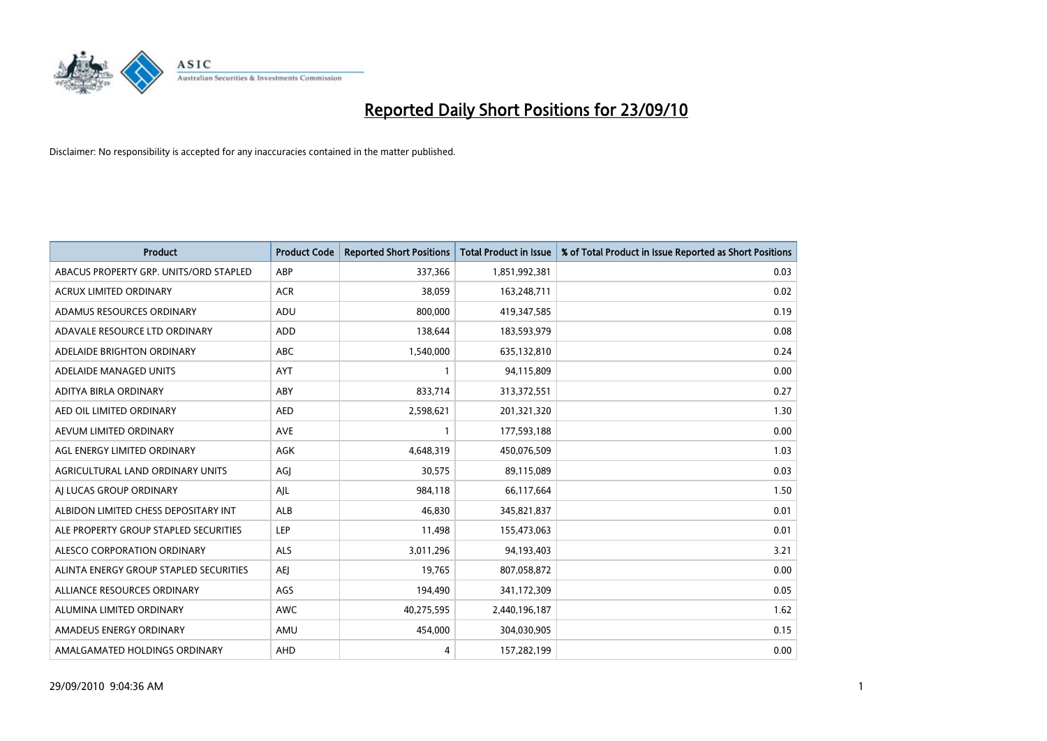

| <b>Product</b>                         | <b>Product Code</b> | <b>Reported Short Positions</b> | <b>Total Product in Issue</b> | % of Total Product in Issue Reported as Short Positions |
|----------------------------------------|---------------------|---------------------------------|-------------------------------|---------------------------------------------------------|
| ABACUS PROPERTY GRP. UNITS/ORD STAPLED | ABP                 | 337,366                         | 1,851,992,381                 | 0.03                                                    |
| ACRUX LIMITED ORDINARY                 | <b>ACR</b>          | 38,059                          | 163,248,711                   | 0.02                                                    |
| ADAMUS RESOURCES ORDINARY              | ADU                 | 800.000                         | 419,347,585                   | 0.19                                                    |
| ADAVALE RESOURCE LTD ORDINARY          | <b>ADD</b>          | 138,644                         | 183,593,979                   | 0.08                                                    |
| ADELAIDE BRIGHTON ORDINARY             | <b>ABC</b>          | 1,540,000                       | 635,132,810                   | 0.24                                                    |
| ADELAIDE MANAGED UNITS                 | AYT                 |                                 | 94,115,809                    | 0.00                                                    |
| ADITYA BIRLA ORDINARY                  | ABY                 | 833,714                         | 313,372,551                   | 0.27                                                    |
| AED OIL LIMITED ORDINARY               | <b>AED</b>          | 2,598,621                       | 201,321,320                   | 1.30                                                    |
| AEVUM LIMITED ORDINARY                 | <b>AVE</b>          |                                 | 177,593,188                   | 0.00                                                    |
| AGL ENERGY LIMITED ORDINARY            | <b>AGK</b>          | 4,648,319                       | 450,076,509                   | 1.03                                                    |
| AGRICULTURAL LAND ORDINARY UNITS       | AGJ                 | 30,575                          | 89,115,089                    | 0.03                                                    |
| AI LUCAS GROUP ORDINARY                | AJL                 | 984,118                         | 66,117,664                    | 1.50                                                    |
| ALBIDON LIMITED CHESS DEPOSITARY INT   | <b>ALB</b>          | 46.830                          | 345,821,837                   | 0.01                                                    |
| ALE PROPERTY GROUP STAPLED SECURITIES  | LEP                 | 11,498                          | 155,473,063                   | 0.01                                                    |
| ALESCO CORPORATION ORDINARY            | <b>ALS</b>          | 3,011,296                       | 94,193,403                    | 3.21                                                    |
| ALINTA ENERGY GROUP STAPLED SECURITIES | <b>AEI</b>          | 19,765                          | 807,058,872                   | 0.00                                                    |
| ALLIANCE RESOURCES ORDINARY            | AGS                 | 194,490                         | 341,172,309                   | 0.05                                                    |
| ALUMINA LIMITED ORDINARY               | <b>AWC</b>          | 40,275,595                      | 2,440,196,187                 | 1.62                                                    |
| AMADEUS ENERGY ORDINARY                | AMU                 | 454,000                         | 304,030,905                   | 0.15                                                    |
| AMALGAMATED HOLDINGS ORDINARY          | AHD                 | 4                               | 157,282,199                   | 0.00                                                    |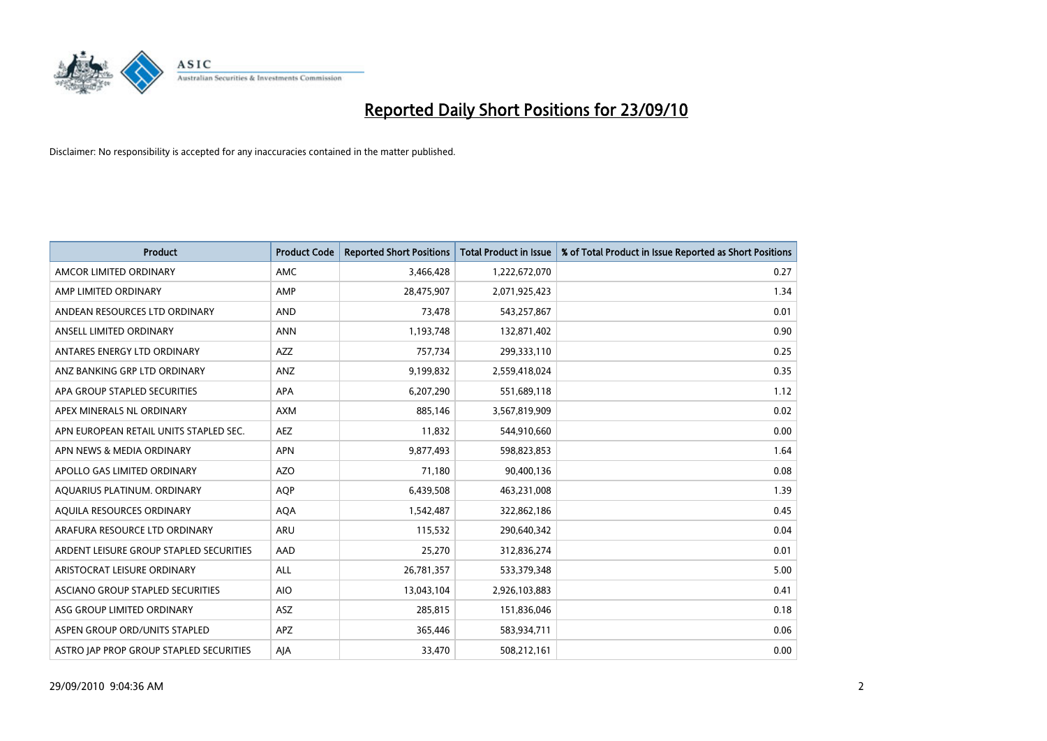

| <b>Product</b>                          | <b>Product Code</b> | <b>Reported Short Positions</b> | <b>Total Product in Issue</b> | % of Total Product in Issue Reported as Short Positions |
|-----------------------------------------|---------------------|---------------------------------|-------------------------------|---------------------------------------------------------|
| AMCOR LIMITED ORDINARY                  | <b>AMC</b>          | 3,466,428                       | 1,222,672,070                 | 0.27                                                    |
| AMP LIMITED ORDINARY                    | AMP                 | 28,475,907                      | 2,071,925,423                 | 1.34                                                    |
| ANDEAN RESOURCES LTD ORDINARY           | <b>AND</b>          | 73,478                          | 543,257,867                   | 0.01                                                    |
| ANSELL LIMITED ORDINARY                 | <b>ANN</b>          | 1,193,748                       | 132,871,402                   | 0.90                                                    |
| ANTARES ENERGY LTD ORDINARY             | <b>AZZ</b>          | 757,734                         | 299,333,110                   | 0.25                                                    |
| ANZ BANKING GRP LTD ORDINARY            | ANZ                 | 9,199,832                       | 2,559,418,024                 | 0.35                                                    |
| APA GROUP STAPLED SECURITIES            | <b>APA</b>          | 6,207,290                       | 551,689,118                   | 1.12                                                    |
| APEX MINERALS NL ORDINARY               | <b>AXM</b>          | 885,146                         | 3,567,819,909                 | 0.02                                                    |
| APN EUROPEAN RETAIL UNITS STAPLED SEC.  | <b>AEZ</b>          | 11,832                          | 544,910,660                   | 0.00                                                    |
| APN NEWS & MEDIA ORDINARY               | <b>APN</b>          | 9,877,493                       | 598,823,853                   | 1.64                                                    |
| APOLLO GAS LIMITED ORDINARY             | AZO                 | 71,180                          | 90,400,136                    | 0.08                                                    |
| AQUARIUS PLATINUM. ORDINARY             | <b>AQP</b>          | 6,439,508                       | 463,231,008                   | 1.39                                                    |
| AQUILA RESOURCES ORDINARY               | <b>AQA</b>          | 1,542,487                       | 322,862,186                   | 0.45                                                    |
| ARAFURA RESOURCE LTD ORDINARY           | <b>ARU</b>          | 115,532                         | 290,640,342                   | 0.04                                                    |
| ARDENT LEISURE GROUP STAPLED SECURITIES | AAD                 | 25,270                          | 312,836,274                   | 0.01                                                    |
| ARISTOCRAT LEISURE ORDINARY             | ALL                 | 26,781,357                      | 533,379,348                   | 5.00                                                    |
| ASCIANO GROUP STAPLED SECURITIES        | <b>AIO</b>          | 13,043,104                      | 2,926,103,883                 | 0.41                                                    |
| ASG GROUP LIMITED ORDINARY              | <b>ASZ</b>          | 285,815                         | 151,836,046                   | 0.18                                                    |
| ASPEN GROUP ORD/UNITS STAPLED           | <b>APZ</b>          | 365,446                         | 583,934,711                   | 0.06                                                    |
| ASTRO JAP PROP GROUP STAPLED SECURITIES | AJA                 | 33,470                          | 508,212,161                   | 0.00                                                    |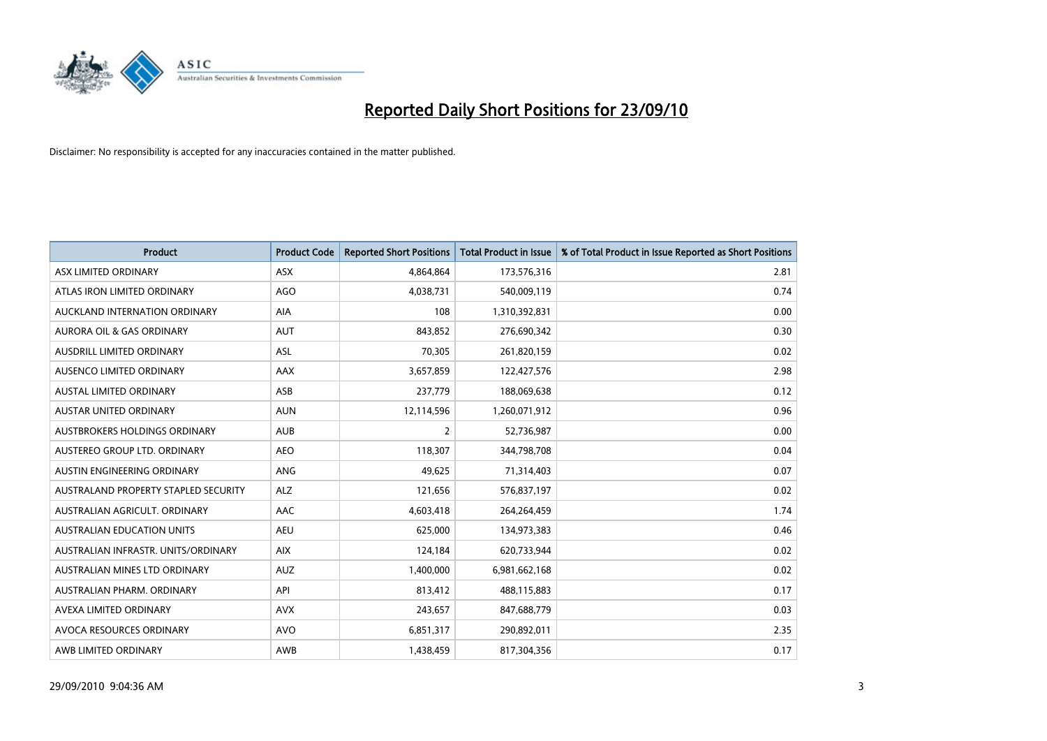

| <b>Product</b>                       | <b>Product Code</b> | <b>Reported Short Positions</b> | <b>Total Product in Issue</b> | % of Total Product in Issue Reported as Short Positions |
|--------------------------------------|---------------------|---------------------------------|-------------------------------|---------------------------------------------------------|
| ASX LIMITED ORDINARY                 | <b>ASX</b>          | 4,864,864                       | 173,576,316                   | 2.81                                                    |
| ATLAS IRON LIMITED ORDINARY          | <b>AGO</b>          | 4,038,731                       | 540,009,119                   | 0.74                                                    |
| AUCKLAND INTERNATION ORDINARY        | <b>AIA</b>          | 108                             | 1,310,392,831                 | 0.00                                                    |
| AURORA OIL & GAS ORDINARY            | <b>AUT</b>          | 843,852                         | 276,690,342                   | 0.30                                                    |
| <b>AUSDRILL LIMITED ORDINARY</b>     | ASL                 | 70,305                          | 261,820,159                   | 0.02                                                    |
| AUSENCO LIMITED ORDINARY             | AAX                 | 3,657,859                       | 122,427,576                   | 2.98                                                    |
| <b>AUSTAL LIMITED ORDINARY</b>       | ASB                 | 237,779                         | 188,069,638                   | 0.12                                                    |
| AUSTAR UNITED ORDINARY               | <b>AUN</b>          | 12,114,596                      | 1,260,071,912                 | 0.96                                                    |
| AUSTBROKERS HOLDINGS ORDINARY        | <b>AUB</b>          | 2                               | 52,736,987                    | 0.00                                                    |
| AUSTEREO GROUP LTD. ORDINARY         | <b>AEO</b>          | 118,307                         | 344,798,708                   | 0.04                                                    |
| AUSTIN ENGINEERING ORDINARY          | ANG                 | 49,625                          | 71,314,403                    | 0.07                                                    |
| AUSTRALAND PROPERTY STAPLED SECURITY | <b>ALZ</b>          | 121,656                         | 576,837,197                   | 0.02                                                    |
| AUSTRALIAN AGRICULT. ORDINARY        | AAC                 | 4,603,418                       | 264,264,459                   | 1.74                                                    |
| <b>AUSTRALIAN EDUCATION UNITS</b>    | <b>AEU</b>          | 625,000                         | 134,973,383                   | 0.46                                                    |
| AUSTRALIAN INFRASTR, UNITS/ORDINARY  | <b>AIX</b>          | 124,184                         | 620,733,944                   | 0.02                                                    |
| AUSTRALIAN MINES LTD ORDINARY        | <b>AUZ</b>          | 1,400,000                       | 6,981,662,168                 | 0.02                                                    |
| AUSTRALIAN PHARM. ORDINARY           | API                 | 813,412                         | 488,115,883                   | 0.17                                                    |
| AVEXA LIMITED ORDINARY               | <b>AVX</b>          | 243,657                         | 847,688,779                   | 0.03                                                    |
| AVOCA RESOURCES ORDINARY             | <b>AVO</b>          | 6,851,317                       | 290,892,011                   | 2.35                                                    |
| AWB LIMITED ORDINARY                 | AWB                 | 1,438,459                       | 817,304,356                   | 0.17                                                    |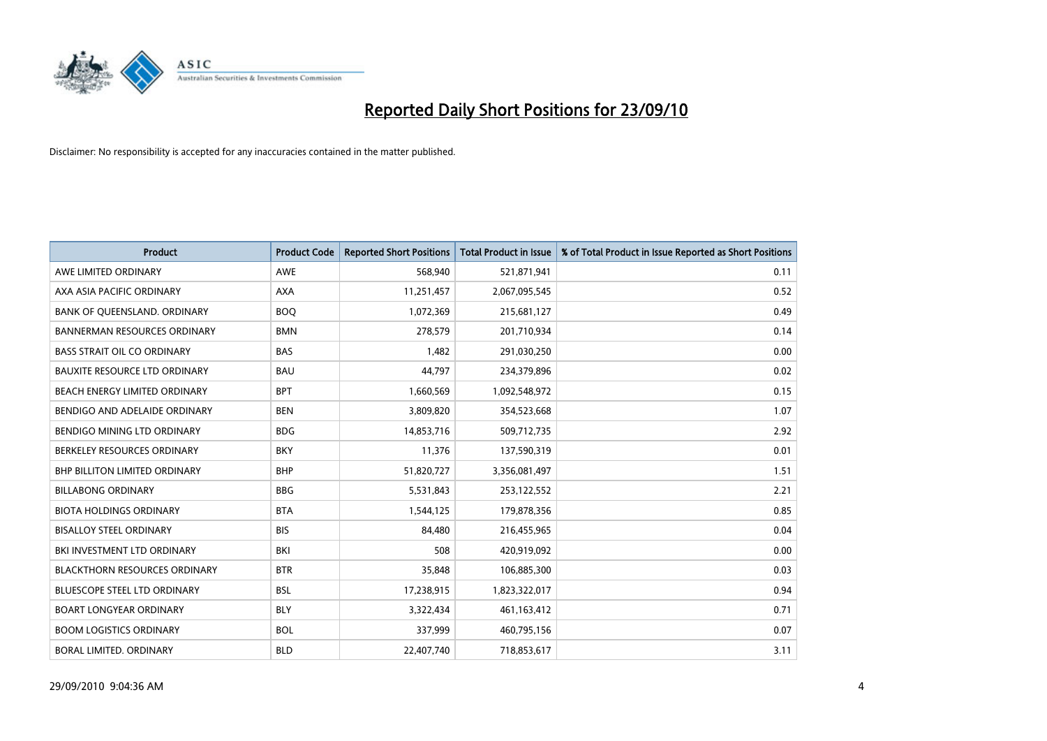

| <b>Product</b>                       | <b>Product Code</b> | <b>Reported Short Positions</b> | <b>Total Product in Issue</b> | % of Total Product in Issue Reported as Short Positions |
|--------------------------------------|---------------------|---------------------------------|-------------------------------|---------------------------------------------------------|
| AWE LIMITED ORDINARY                 | <b>AWE</b>          | 568,940                         | 521,871,941                   | 0.11                                                    |
| AXA ASIA PACIFIC ORDINARY            | <b>AXA</b>          | 11,251,457                      | 2,067,095,545                 | 0.52                                                    |
| BANK OF QUEENSLAND. ORDINARY         | <b>BOO</b>          | 1,072,369                       | 215,681,127                   | 0.49                                                    |
| <b>BANNERMAN RESOURCES ORDINARY</b>  | <b>BMN</b>          | 278,579                         | 201,710,934                   | 0.14                                                    |
| <b>BASS STRAIT OIL CO ORDINARY</b>   | <b>BAS</b>          | 1,482                           | 291,030,250                   | 0.00                                                    |
| <b>BAUXITE RESOURCE LTD ORDINARY</b> | <b>BAU</b>          | 44,797                          | 234,379,896                   | 0.02                                                    |
| BEACH ENERGY LIMITED ORDINARY        | <b>BPT</b>          | 1,660,569                       | 1,092,548,972                 | 0.15                                                    |
| BENDIGO AND ADELAIDE ORDINARY        | <b>BEN</b>          | 3,809,820                       | 354,523,668                   | 1.07                                                    |
| BENDIGO MINING LTD ORDINARY          | <b>BDG</b>          | 14,853,716                      | 509,712,735                   | 2.92                                                    |
| BERKELEY RESOURCES ORDINARY          | <b>BKY</b>          | 11,376                          | 137,590,319                   | 0.01                                                    |
| <b>BHP BILLITON LIMITED ORDINARY</b> | <b>BHP</b>          | 51,820,727                      | 3,356,081,497                 | 1.51                                                    |
| <b>BILLABONG ORDINARY</b>            | <b>BBG</b>          | 5,531,843                       | 253,122,552                   | 2.21                                                    |
| <b>BIOTA HOLDINGS ORDINARY</b>       | <b>BTA</b>          | 1,544,125                       | 179,878,356                   | 0.85                                                    |
| <b>BISALLOY STEEL ORDINARY</b>       | <b>BIS</b>          | 84.480                          | 216,455,965                   | 0.04                                                    |
| BKI INVESTMENT LTD ORDINARY          | <b>BKI</b>          | 508                             | 420,919,092                   | 0.00                                                    |
| <b>BLACKTHORN RESOURCES ORDINARY</b> | <b>BTR</b>          | 35,848                          | 106,885,300                   | 0.03                                                    |
| <b>BLUESCOPE STEEL LTD ORDINARY</b>  | <b>BSL</b>          | 17,238,915                      | 1,823,322,017                 | 0.94                                                    |
| <b>BOART LONGYEAR ORDINARY</b>       | <b>BLY</b>          | 3,322,434                       | 461,163,412                   | 0.71                                                    |
| <b>BOOM LOGISTICS ORDINARY</b>       | <b>BOL</b>          | 337,999                         | 460,795,156                   | 0.07                                                    |
| BORAL LIMITED, ORDINARY              | <b>BLD</b>          | 22,407,740                      | 718,853,617                   | 3.11                                                    |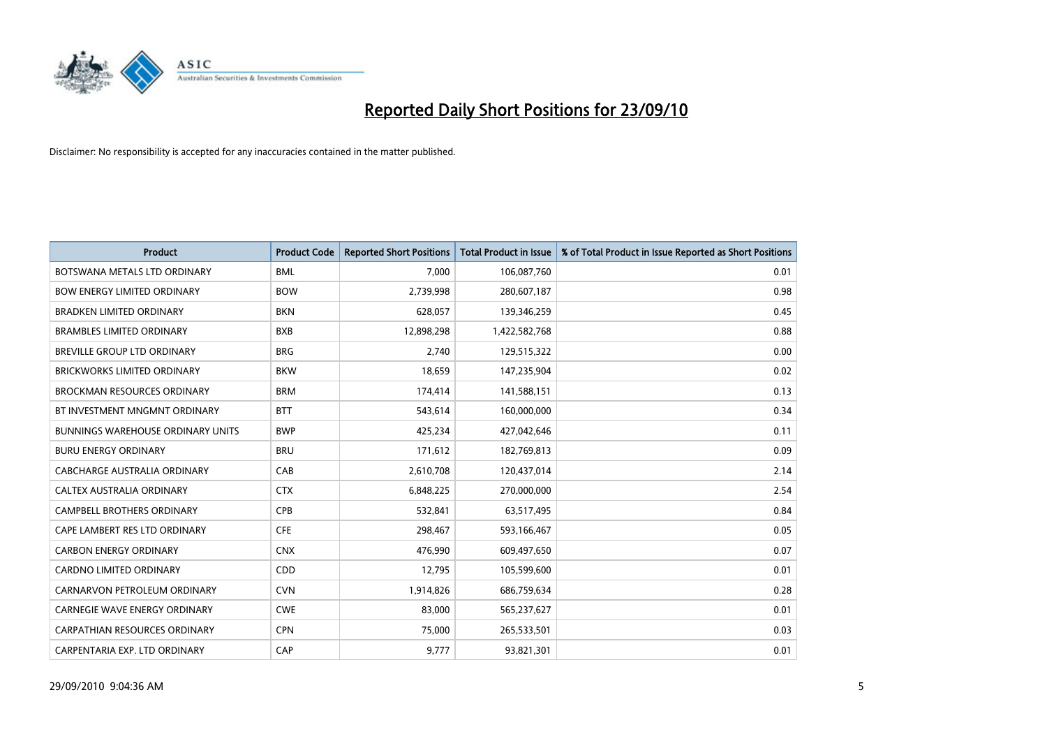

| <b>Product</b>                           | <b>Product Code</b> | <b>Reported Short Positions</b> | <b>Total Product in Issue</b> | % of Total Product in Issue Reported as Short Positions |
|------------------------------------------|---------------------|---------------------------------|-------------------------------|---------------------------------------------------------|
| BOTSWANA METALS LTD ORDINARY             | <b>BML</b>          | 7,000                           | 106,087,760                   | 0.01                                                    |
| <b>BOW ENERGY LIMITED ORDINARY</b>       | <b>BOW</b>          | 2,739,998                       | 280,607,187                   | 0.98                                                    |
| <b>BRADKEN LIMITED ORDINARY</b>          | <b>BKN</b>          | 628.057                         | 139,346,259                   | 0.45                                                    |
| <b>BRAMBLES LIMITED ORDINARY</b>         | <b>BXB</b>          | 12,898,298                      | 1,422,582,768                 | 0.88                                                    |
| <b>BREVILLE GROUP LTD ORDINARY</b>       | <b>BRG</b>          | 2,740                           | 129,515,322                   | 0.00                                                    |
| <b>BRICKWORKS LIMITED ORDINARY</b>       | <b>BKW</b>          | 18,659                          | 147,235,904                   | 0.02                                                    |
| <b>BROCKMAN RESOURCES ORDINARY</b>       | <b>BRM</b>          | 174,414                         | 141,588,151                   | 0.13                                                    |
| BT INVESTMENT MNGMNT ORDINARY            | <b>BTT</b>          | 543,614                         | 160,000,000                   | 0.34                                                    |
| <b>BUNNINGS WAREHOUSE ORDINARY UNITS</b> | <b>BWP</b>          | 425,234                         | 427,042,646                   | 0.11                                                    |
| <b>BURU ENERGY ORDINARY</b>              | <b>BRU</b>          | 171,612                         | 182,769,813                   | 0.09                                                    |
| CABCHARGE AUSTRALIA ORDINARY             | CAB                 | 2,610,708                       | 120,437,014                   | 2.14                                                    |
| <b>CALTEX AUSTRALIA ORDINARY</b>         | <b>CTX</b>          | 6,848,225                       | 270,000,000                   | 2.54                                                    |
| CAMPBELL BROTHERS ORDINARY               | <b>CPB</b>          | 532,841                         | 63,517,495                    | 0.84                                                    |
| CAPE LAMBERT RES LTD ORDINARY            | <b>CFE</b>          | 298,467                         | 593,166,467                   | 0.05                                                    |
| <b>CARBON ENERGY ORDINARY</b>            | <b>CNX</b>          | 476,990                         | 609,497,650                   | 0.07                                                    |
| <b>CARDNO LIMITED ORDINARY</b>           | CDD                 | 12,795                          | 105,599,600                   | 0.01                                                    |
| CARNARVON PETROLEUM ORDINARY             | <b>CVN</b>          | 1,914,826                       | 686,759,634                   | 0.28                                                    |
| CARNEGIE WAVE ENERGY ORDINARY            | <b>CWE</b>          | 83,000                          | 565,237,627                   | 0.01                                                    |
| <b>CARPATHIAN RESOURCES ORDINARY</b>     | <b>CPN</b>          | 75,000                          | 265,533,501                   | 0.03                                                    |
| CARPENTARIA EXP. LTD ORDINARY            | CAP                 | 9,777                           | 93,821,301                    | 0.01                                                    |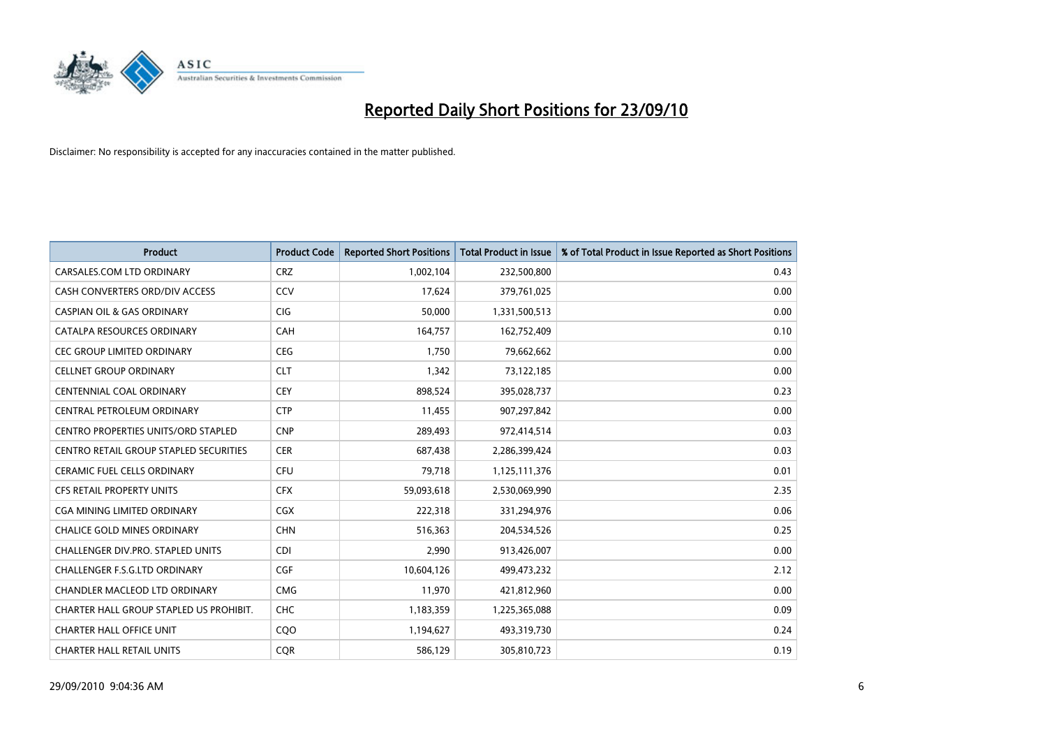

| <b>Product</b>                           | <b>Product Code</b> | <b>Reported Short Positions</b> | <b>Total Product in Issue</b> | % of Total Product in Issue Reported as Short Positions |
|------------------------------------------|---------------------|---------------------------------|-------------------------------|---------------------------------------------------------|
| CARSALES.COM LTD ORDINARY                | <b>CRZ</b>          | 1,002,104                       | 232,500,800                   | 0.43                                                    |
| CASH CONVERTERS ORD/DIV ACCESS           | CCV                 | 17,624                          | 379,761,025                   | 0.00                                                    |
| <b>CASPIAN OIL &amp; GAS ORDINARY</b>    | <b>CIG</b>          | 50,000                          | 1,331,500,513                 | 0.00                                                    |
| CATALPA RESOURCES ORDINARY               | CAH                 | 164,757                         | 162,752,409                   | 0.10                                                    |
| <b>CEC GROUP LIMITED ORDINARY</b>        | CEG                 | 1,750                           | 79,662,662                    | 0.00                                                    |
| <b>CELLNET GROUP ORDINARY</b>            | <b>CLT</b>          | 1,342                           | 73,122,185                    | 0.00                                                    |
| <b>CENTENNIAL COAL ORDINARY</b>          | <b>CEY</b>          | 898,524                         | 395,028,737                   | 0.23                                                    |
| CENTRAL PETROLEUM ORDINARY               | <b>CTP</b>          | 11,455                          | 907,297,842                   | 0.00                                                    |
| CENTRO PROPERTIES UNITS/ORD STAPLED      | <b>CNP</b>          | 289,493                         | 972,414,514                   | 0.03                                                    |
| CENTRO RETAIL GROUP STAPLED SECURITIES   | <b>CER</b>          | 687,438                         | 2,286,399,424                 | 0.03                                                    |
| CERAMIC FUEL CELLS ORDINARY              | <b>CFU</b>          | 79,718                          | 1,125,111,376                 | 0.01                                                    |
| CFS RETAIL PROPERTY UNITS                | <b>CFX</b>          | 59,093,618                      | 2,530,069,990                 | 2.35                                                    |
| <b>CGA MINING LIMITED ORDINARY</b>       | <b>CGX</b>          | 222,318                         | 331,294,976                   | 0.06                                                    |
| <b>CHALICE GOLD MINES ORDINARY</b>       | <b>CHN</b>          | 516,363                         | 204,534,526                   | 0.25                                                    |
| <b>CHALLENGER DIV.PRO. STAPLED UNITS</b> | <b>CDI</b>          | 2,990                           | 913,426,007                   | 0.00                                                    |
| <b>CHALLENGER F.S.G.LTD ORDINARY</b>     | CGF                 | 10,604,126                      | 499,473,232                   | 2.12                                                    |
| CHANDLER MACLEOD LTD ORDINARY            | <b>CMG</b>          | 11,970                          | 421,812,960                   | 0.00                                                    |
| CHARTER HALL GROUP STAPLED US PROHIBIT.  | CHC                 | 1,183,359                       | 1,225,365,088                 | 0.09                                                    |
| <b>CHARTER HALL OFFICE UNIT</b>          | COO                 | 1,194,627                       | 493,319,730                   | 0.24                                                    |
| <b>CHARTER HALL RETAIL UNITS</b>         | <b>COR</b>          | 586,129                         | 305,810,723                   | 0.19                                                    |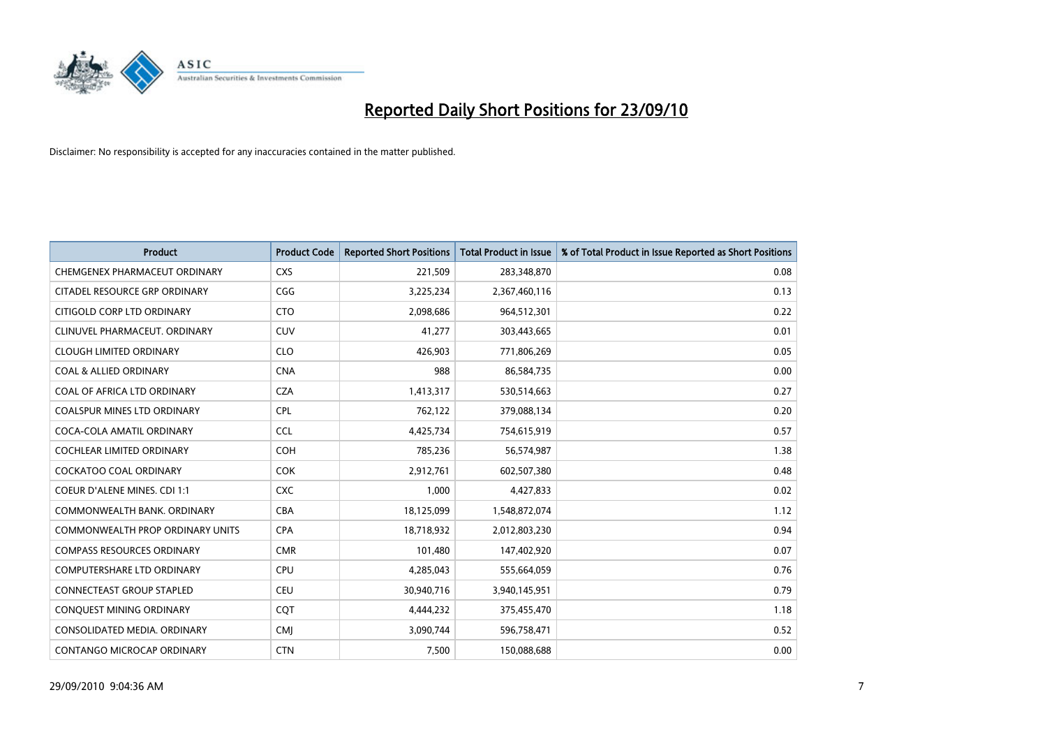

| <b>Product</b>                          | <b>Product Code</b> | <b>Reported Short Positions</b> | <b>Total Product in Issue</b> | % of Total Product in Issue Reported as Short Positions |
|-----------------------------------------|---------------------|---------------------------------|-------------------------------|---------------------------------------------------------|
| CHEMGENEX PHARMACEUT ORDINARY           | <b>CXS</b>          | 221,509                         | 283,348,870                   | 0.08                                                    |
| CITADEL RESOURCE GRP ORDINARY           | CGG                 | 3,225,234                       | 2,367,460,116                 | 0.13                                                    |
| CITIGOLD CORP LTD ORDINARY              | <b>CTO</b>          | 2,098,686                       | 964,512,301                   | 0.22                                                    |
| CLINUVEL PHARMACEUT. ORDINARY           | <b>CUV</b>          | 41,277                          | 303,443,665                   | 0.01                                                    |
| <b>CLOUGH LIMITED ORDINARY</b>          | <b>CLO</b>          | 426.903                         | 771,806,269                   | 0.05                                                    |
| COAL & ALLIED ORDINARY                  | <b>CNA</b>          | 988                             | 86,584,735                    | 0.00                                                    |
| COAL OF AFRICA LTD ORDINARY             | <b>CZA</b>          | 1,413,317                       | 530,514,663                   | 0.27                                                    |
| <b>COALSPUR MINES LTD ORDINARY</b>      | <b>CPL</b>          | 762,122                         | 379,088,134                   | 0.20                                                    |
| COCA-COLA AMATIL ORDINARY               | <b>CCL</b>          | 4,425,734                       | 754,615,919                   | 0.57                                                    |
| <b>COCHLEAR LIMITED ORDINARY</b>        | <b>COH</b>          | 785,236                         | 56,574,987                    | 1.38                                                    |
| COCKATOO COAL ORDINARY                  | <b>COK</b>          | 2,912,761                       | 602,507,380                   | 0.48                                                    |
| <b>COEUR D'ALENE MINES. CDI 1:1</b>     | <b>CXC</b>          | 1,000                           | 4,427,833                     | 0.02                                                    |
| COMMONWEALTH BANK, ORDINARY             | <b>CBA</b>          | 18,125,099                      | 1,548,872,074                 | 1.12                                                    |
| <b>COMMONWEALTH PROP ORDINARY UNITS</b> | <b>CPA</b>          | 18,718,932                      | 2,012,803,230                 | 0.94                                                    |
| <b>COMPASS RESOURCES ORDINARY</b>       | <b>CMR</b>          | 101,480                         | 147,402,920                   | 0.07                                                    |
| COMPUTERSHARE LTD ORDINARY              | <b>CPU</b>          | 4,285,043                       | 555,664,059                   | 0.76                                                    |
| <b>CONNECTEAST GROUP STAPLED</b>        | <b>CEU</b>          | 30,940,716                      | 3,940,145,951                 | 0.79                                                    |
| CONQUEST MINING ORDINARY                | CQT                 | 4,444,232                       | 375,455,470                   | 1.18                                                    |
| CONSOLIDATED MEDIA, ORDINARY            | <b>CMI</b>          | 3,090,744                       | 596,758,471                   | 0.52                                                    |
| <b>CONTANGO MICROCAP ORDINARY</b>       | <b>CTN</b>          | 7,500                           | 150,088,688                   | 0.00                                                    |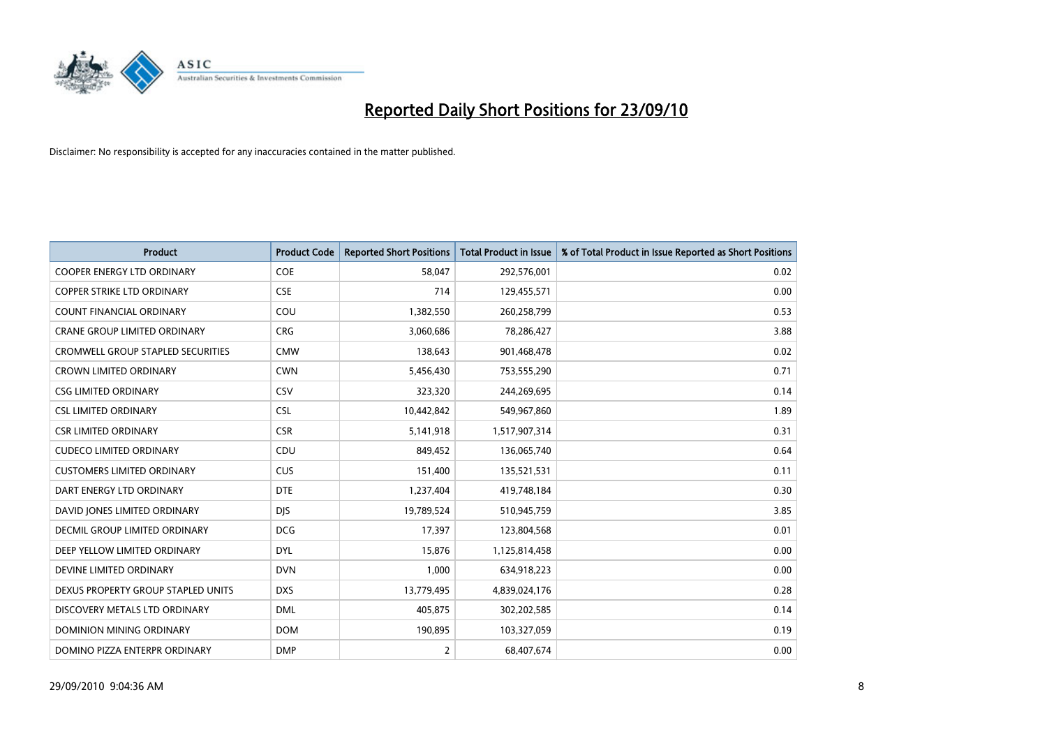

| <b>Product</b>                           | <b>Product Code</b> | <b>Reported Short Positions</b> | <b>Total Product in Issue</b> | % of Total Product in Issue Reported as Short Positions |
|------------------------------------------|---------------------|---------------------------------|-------------------------------|---------------------------------------------------------|
| <b>COOPER ENERGY LTD ORDINARY</b>        | <b>COE</b>          | 58,047                          | 292,576,001                   | 0.02                                                    |
| <b>COPPER STRIKE LTD ORDINARY</b>        | <b>CSE</b>          | 714                             | 129,455,571                   | 0.00                                                    |
| <b>COUNT FINANCIAL ORDINARY</b>          | COU                 | 1,382,550                       | 260,258,799                   | 0.53                                                    |
| CRANE GROUP LIMITED ORDINARY             | <b>CRG</b>          | 3,060,686                       | 78,286,427                    | 3.88                                                    |
| <b>CROMWELL GROUP STAPLED SECURITIES</b> | <b>CMW</b>          | 138,643                         | 901,468,478                   | 0.02                                                    |
| <b>CROWN LIMITED ORDINARY</b>            | <b>CWN</b>          | 5,456,430                       | 753,555,290                   | 0.71                                                    |
| <b>CSG LIMITED ORDINARY</b>              | CSV                 | 323,320                         | 244,269,695                   | 0.14                                                    |
| <b>CSL LIMITED ORDINARY</b>              | <b>CSL</b>          | 10,442,842                      | 549,967,860                   | 1.89                                                    |
| <b>CSR LIMITED ORDINARY</b>              | <b>CSR</b>          | 5,141,918                       | 1,517,907,314                 | 0.31                                                    |
| <b>CUDECO LIMITED ORDINARY</b>           | CDU                 | 849,452                         | 136,065,740                   | 0.64                                                    |
| <b>CUSTOMERS LIMITED ORDINARY</b>        | CUS                 | 151,400                         | 135,521,531                   | 0.11                                                    |
| DART ENERGY LTD ORDINARY                 | <b>DTE</b>          | 1,237,404                       | 419,748,184                   | 0.30                                                    |
| DAVID JONES LIMITED ORDINARY             | <b>DJS</b>          | 19,789,524                      | 510,945,759                   | 3.85                                                    |
| <b>DECMIL GROUP LIMITED ORDINARY</b>     | <b>DCG</b>          | 17,397                          | 123,804,568                   | 0.01                                                    |
| DEEP YELLOW LIMITED ORDINARY             | <b>DYL</b>          | 15,876                          | 1,125,814,458                 | 0.00                                                    |
| DEVINE LIMITED ORDINARY                  | <b>DVN</b>          | 1,000                           | 634,918,223                   | 0.00                                                    |
| DEXUS PROPERTY GROUP STAPLED UNITS       | <b>DXS</b>          | 13,779,495                      | 4,839,024,176                 | 0.28                                                    |
| DISCOVERY METALS LTD ORDINARY            | <b>DML</b>          | 405,875                         | 302,202,585                   | 0.14                                                    |
| <b>DOMINION MINING ORDINARY</b>          | <b>DOM</b>          | 190,895                         | 103,327,059                   | 0.19                                                    |
| DOMINO PIZZA ENTERPR ORDINARY            | <b>DMP</b>          | 2                               | 68,407,674                    | 0.00                                                    |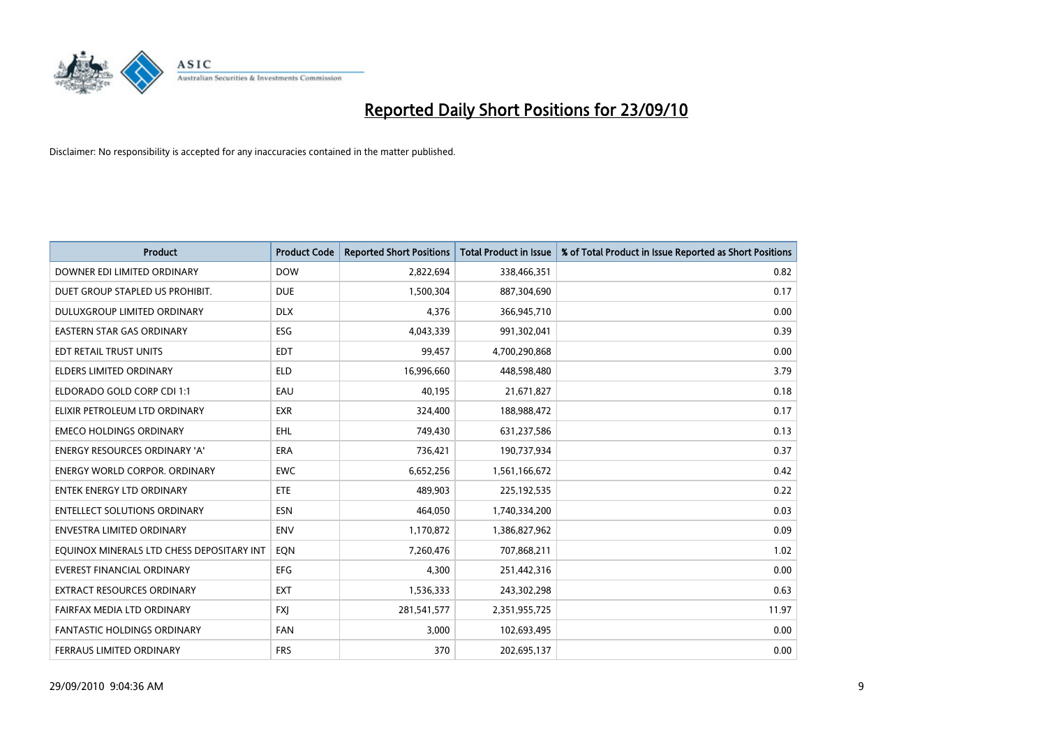

| <b>Product</b>                            | <b>Product Code</b> | <b>Reported Short Positions</b> | <b>Total Product in Issue</b> | % of Total Product in Issue Reported as Short Positions |
|-------------------------------------------|---------------------|---------------------------------|-------------------------------|---------------------------------------------------------|
| DOWNER EDI LIMITED ORDINARY               | <b>DOW</b>          | 2,822,694                       | 338,466,351                   | 0.82                                                    |
| DUET GROUP STAPLED US PROHIBIT.           | <b>DUE</b>          | 1,500,304                       | 887,304,690                   | 0.17                                                    |
| DULUXGROUP LIMITED ORDINARY               | <b>DLX</b>          | 4,376                           | 366,945,710                   | 0.00                                                    |
| EASTERN STAR GAS ORDINARY                 | ESG                 | 4,043,339                       | 991,302,041                   | 0.39                                                    |
| EDT RETAIL TRUST UNITS                    | <b>EDT</b>          | 99,457                          | 4,700,290,868                 | 0.00                                                    |
| <b>ELDERS LIMITED ORDINARY</b>            | <b>ELD</b>          | 16,996,660                      | 448,598,480                   | 3.79                                                    |
| ELDORADO GOLD CORP CDI 1:1                | EAU                 | 40.195                          | 21,671,827                    | 0.18                                                    |
| ELIXIR PETROLEUM LTD ORDINARY             | <b>EXR</b>          | 324,400                         | 188,988,472                   | 0.17                                                    |
| <b>EMECO HOLDINGS ORDINARY</b>            | <b>EHL</b>          | 749,430                         | 631,237,586                   | 0.13                                                    |
| <b>ENERGY RESOURCES ORDINARY 'A'</b>      | <b>ERA</b>          | 736,421                         | 190,737,934                   | 0.37                                                    |
| <b>ENERGY WORLD CORPOR, ORDINARY</b>      | <b>EWC</b>          | 6,652,256                       | 1,561,166,672                 | 0.42                                                    |
| <b>ENTEK ENERGY LTD ORDINARY</b>          | <b>ETE</b>          | 489,903                         | 225,192,535                   | 0.22                                                    |
| <b>ENTELLECT SOLUTIONS ORDINARY</b>       | <b>ESN</b>          | 464,050                         | 1,740,334,200                 | 0.03                                                    |
| <b>ENVESTRA LIMITED ORDINARY</b>          | <b>ENV</b>          | 1,170,872                       | 1,386,827,962                 | 0.09                                                    |
| EQUINOX MINERALS LTD CHESS DEPOSITARY INT | EON                 | 7,260,476                       | 707,868,211                   | 1.02                                                    |
| <b>EVEREST FINANCIAL ORDINARY</b>         | <b>EFG</b>          | 4,300                           | 251,442,316                   | 0.00                                                    |
| <b>EXTRACT RESOURCES ORDINARY</b>         | <b>EXT</b>          | 1,536,333                       | 243,302,298                   | 0.63                                                    |
| FAIRFAX MEDIA LTD ORDINARY                | <b>FXI</b>          | 281,541,577                     | 2,351,955,725                 | 11.97                                                   |
| <b>FANTASTIC HOLDINGS ORDINARY</b>        | <b>FAN</b>          | 3,000                           | 102,693,495                   | 0.00                                                    |
| FERRAUS LIMITED ORDINARY                  | <b>FRS</b>          | 370                             | 202,695,137                   | 0.00                                                    |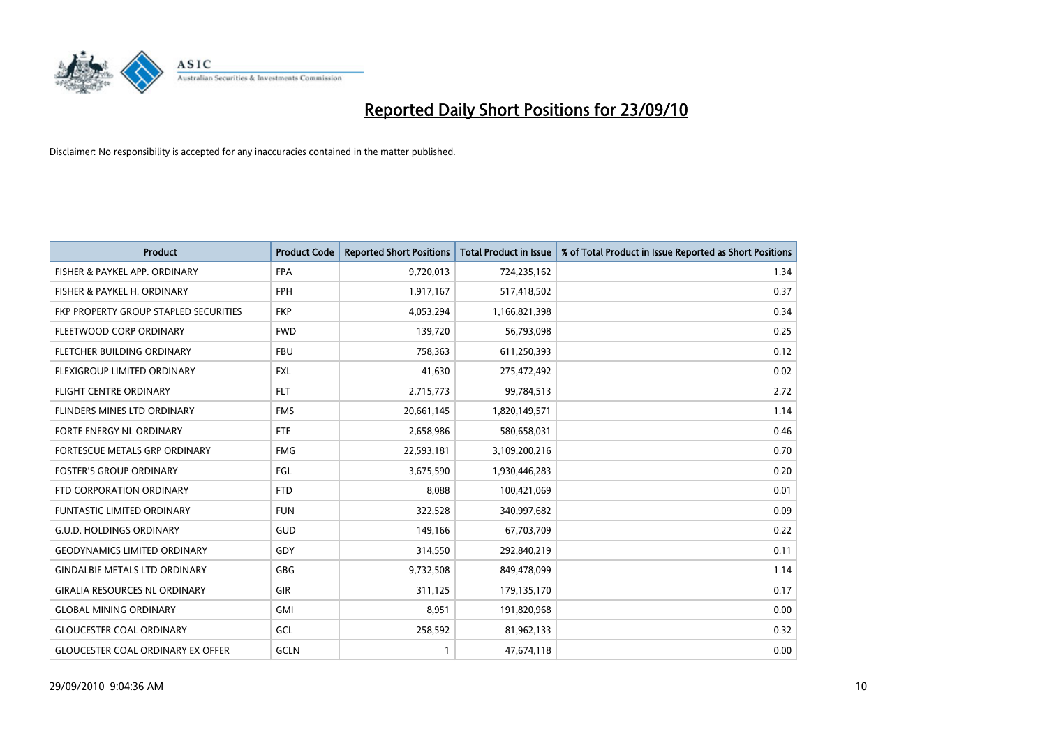

| <b>Product</b>                           | <b>Product Code</b> | <b>Reported Short Positions</b> | Total Product in Issue | % of Total Product in Issue Reported as Short Positions |
|------------------------------------------|---------------------|---------------------------------|------------------------|---------------------------------------------------------|
| FISHER & PAYKEL APP. ORDINARY            | <b>FPA</b>          | 9,720,013                       | 724,235,162            | 1.34                                                    |
| FISHER & PAYKEL H. ORDINARY              | <b>FPH</b>          | 1,917,167                       | 517,418,502            | 0.37                                                    |
| FKP PROPERTY GROUP STAPLED SECURITIES    | <b>FKP</b>          | 4,053,294                       | 1,166,821,398          | 0.34                                                    |
| FLEETWOOD CORP ORDINARY                  | <b>FWD</b>          | 139,720                         | 56,793,098             | 0.25                                                    |
| FLETCHER BUILDING ORDINARY               | <b>FBU</b>          | 758,363                         | 611,250,393            | 0.12                                                    |
| FLEXIGROUP LIMITED ORDINARY              | <b>FXL</b>          | 41,630                          | 275,472,492            | 0.02                                                    |
| <b>FLIGHT CENTRE ORDINARY</b>            | <b>FLT</b>          | 2,715,773                       | 99,784,513             | 2.72                                                    |
| FLINDERS MINES LTD ORDINARY              | <b>FMS</b>          | 20,661,145                      | 1,820,149,571          | 1.14                                                    |
| FORTE ENERGY NL ORDINARY                 | <b>FTE</b>          | 2,658,986                       | 580,658,031            | 0.46                                                    |
| FORTESCUE METALS GRP ORDINARY            | <b>FMG</b>          | 22,593,181                      | 3,109,200,216          | 0.70                                                    |
| <b>FOSTER'S GROUP ORDINARY</b>           | FGL                 | 3,675,590                       | 1,930,446,283          | 0.20                                                    |
| FTD CORPORATION ORDINARY                 | <b>FTD</b>          | 8,088                           | 100,421,069            | 0.01                                                    |
| FUNTASTIC LIMITED ORDINARY               | <b>FUN</b>          | 322,528                         | 340,997,682            | 0.09                                                    |
| <b>G.U.D. HOLDINGS ORDINARY</b>          | <b>GUD</b>          | 149,166                         | 67,703,709             | 0.22                                                    |
| <b>GEODYNAMICS LIMITED ORDINARY</b>      | GDY                 | 314,550                         | 292,840,219            | 0.11                                                    |
| <b>GINDALBIE METALS LTD ORDINARY</b>     | <b>GBG</b>          | 9,732,508                       | 849,478,099            | 1.14                                                    |
| <b>GIRALIA RESOURCES NL ORDINARY</b>     | GIR                 | 311,125                         | 179,135,170            | 0.17                                                    |
| <b>GLOBAL MINING ORDINARY</b>            | <b>GMI</b>          | 8,951                           | 191,820,968            | 0.00                                                    |
| <b>GLOUCESTER COAL ORDINARY</b>          | GCL                 | 258,592                         | 81,962,133             | 0.32                                                    |
| <b>GLOUCESTER COAL ORDINARY EX OFFER</b> | GCLN                |                                 | 47,674,118             | 0.00                                                    |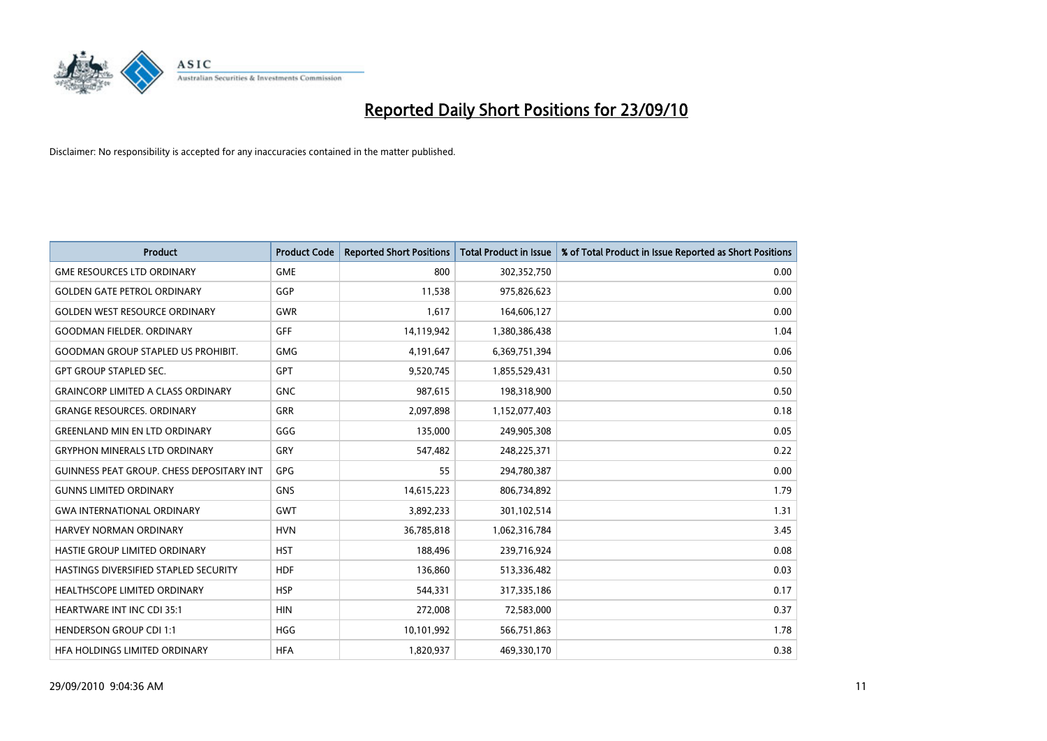

| <b>Product</b>                                   | <b>Product Code</b> | <b>Reported Short Positions</b> | <b>Total Product in Issue</b> | % of Total Product in Issue Reported as Short Positions |
|--------------------------------------------------|---------------------|---------------------------------|-------------------------------|---------------------------------------------------------|
| <b>GME RESOURCES LTD ORDINARY</b>                | <b>GME</b>          | 800                             | 302,352,750                   | 0.00                                                    |
| <b>GOLDEN GATE PETROL ORDINARY</b>               | GGP                 | 11,538                          | 975,826,623                   | 0.00                                                    |
| <b>GOLDEN WEST RESOURCE ORDINARY</b>             | <b>GWR</b>          | 1,617                           | 164,606,127                   | 0.00                                                    |
| <b>GOODMAN FIELDER. ORDINARY</b>                 | <b>GFF</b>          | 14,119,942                      | 1,380,386,438                 | 1.04                                                    |
| <b>GOODMAN GROUP STAPLED US PROHIBIT.</b>        | <b>GMG</b>          | 4,191,647                       | 6,369,751,394                 | 0.06                                                    |
| <b>GPT GROUP STAPLED SEC.</b>                    | <b>GPT</b>          | 9,520,745                       | 1,855,529,431                 | 0.50                                                    |
| <b>GRAINCORP LIMITED A CLASS ORDINARY</b>        | <b>GNC</b>          | 987,615                         | 198,318,900                   | 0.50                                                    |
| <b>GRANGE RESOURCES. ORDINARY</b>                | <b>GRR</b>          | 2,097,898                       | 1,152,077,403                 | 0.18                                                    |
| <b>GREENLAND MIN EN LTD ORDINARY</b>             | GGG                 | 135,000                         | 249,905,308                   | 0.05                                                    |
| <b>GRYPHON MINERALS LTD ORDINARY</b>             | GRY                 | 547,482                         | 248,225,371                   | 0.22                                                    |
| <b>GUINNESS PEAT GROUP. CHESS DEPOSITARY INT</b> | <b>GPG</b>          | 55                              | 294,780,387                   | 0.00                                                    |
| <b>GUNNS LIMITED ORDINARY</b>                    | <b>GNS</b>          | 14,615,223                      | 806,734,892                   | 1.79                                                    |
| <b>GWA INTERNATIONAL ORDINARY</b>                | <b>GWT</b>          | 3,892,233                       | 301,102,514                   | 1.31                                                    |
| <b>HARVEY NORMAN ORDINARY</b>                    | <b>HVN</b>          | 36,785,818                      | 1,062,316,784                 | 3.45                                                    |
| HASTIE GROUP LIMITED ORDINARY                    | <b>HST</b>          | 188,496                         | 239,716,924                   | 0.08                                                    |
| HASTINGS DIVERSIFIED STAPLED SECURITY            | <b>HDF</b>          | 136,860                         | 513,336,482                   | 0.03                                                    |
| HEALTHSCOPE LIMITED ORDINARY                     | <b>HSP</b>          | 544,331                         | 317,335,186                   | 0.17                                                    |
| <b>HEARTWARE INT INC CDI 35:1</b>                | <b>HIN</b>          | 272,008                         | 72,583,000                    | 0.37                                                    |
| <b>HENDERSON GROUP CDI 1:1</b>                   | <b>HGG</b>          | 10,101,992                      | 566,751,863                   | 1.78                                                    |
| HEA HOLDINGS LIMITED ORDINARY                    | <b>HFA</b>          | 1,820,937                       | 469,330,170                   | 0.38                                                    |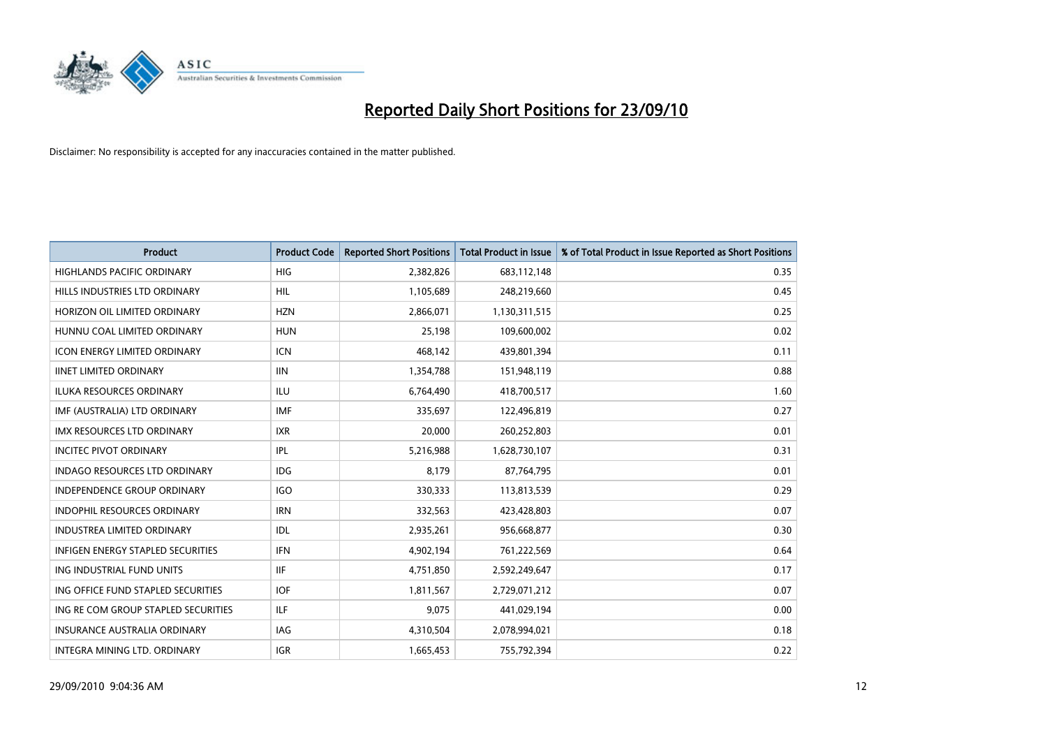

| <b>Product</b>                       | <b>Product Code</b> | <b>Reported Short Positions</b> | <b>Total Product in Issue</b> | % of Total Product in Issue Reported as Short Positions |
|--------------------------------------|---------------------|---------------------------------|-------------------------------|---------------------------------------------------------|
| <b>HIGHLANDS PACIFIC ORDINARY</b>    | <b>HIG</b>          | 2,382,826                       | 683,112,148                   | 0.35                                                    |
| HILLS INDUSTRIES LTD ORDINARY        | HIL                 | 1,105,689                       | 248,219,660                   | 0.45                                                    |
| HORIZON OIL LIMITED ORDINARY         | <b>HZN</b>          | 2,866,071                       | 1,130,311,515                 | 0.25                                                    |
| HUNNU COAL LIMITED ORDINARY          | <b>HUN</b>          | 25,198                          | 109,600,002                   | 0.02                                                    |
| <b>ICON ENERGY LIMITED ORDINARY</b>  | <b>ICN</b>          | 468,142                         | 439,801,394                   | 0.11                                                    |
| <b>IINET LIMITED ORDINARY</b>        | <b>IIN</b>          | 1,354,788                       | 151,948,119                   | 0.88                                                    |
| <b>ILUKA RESOURCES ORDINARY</b>      | <b>ILU</b>          | 6,764,490                       | 418,700,517                   | 1.60                                                    |
| IMF (AUSTRALIA) LTD ORDINARY         | <b>IMF</b>          | 335,697                         | 122,496,819                   | 0.27                                                    |
| IMX RESOURCES LTD ORDINARY           | <b>IXR</b>          | 20,000                          | 260,252,803                   | 0.01                                                    |
| <b>INCITEC PIVOT ORDINARY</b>        | IPL                 | 5,216,988                       | 1,628,730,107                 | 0.31                                                    |
| <b>INDAGO RESOURCES LTD ORDINARY</b> | <b>IDG</b>          | 8,179                           | 87,764,795                    | 0.01                                                    |
| INDEPENDENCE GROUP ORDINARY          | <b>IGO</b>          | 330,333                         | 113,813,539                   | 0.29                                                    |
| <b>INDOPHIL RESOURCES ORDINARY</b>   | <b>IRN</b>          | 332,563                         | 423,428,803                   | 0.07                                                    |
| <b>INDUSTREA LIMITED ORDINARY</b>    | IDL                 | 2,935,261                       | 956,668,877                   | 0.30                                                    |
| INFIGEN ENERGY STAPLED SECURITIES    | <b>IFN</b>          | 4,902,194                       | 761,222,569                   | 0.64                                                    |
| ING INDUSTRIAL FUND UNITS            | <b>IIF</b>          | 4,751,850                       | 2,592,249,647                 | 0.17                                                    |
| ING OFFICE FUND STAPLED SECURITIES   | <b>IOF</b>          | 1,811,567                       | 2,729,071,212                 | 0.07                                                    |
| ING RE COM GROUP STAPLED SECURITIES  | <b>ILF</b>          | 9,075                           | 441,029,194                   | 0.00                                                    |
| INSURANCE AUSTRALIA ORDINARY         | IAG                 | 4,310,504                       | 2,078,994,021                 | 0.18                                                    |
| INTEGRA MINING LTD. ORDINARY         | <b>IGR</b>          | 1,665,453                       | 755,792,394                   | 0.22                                                    |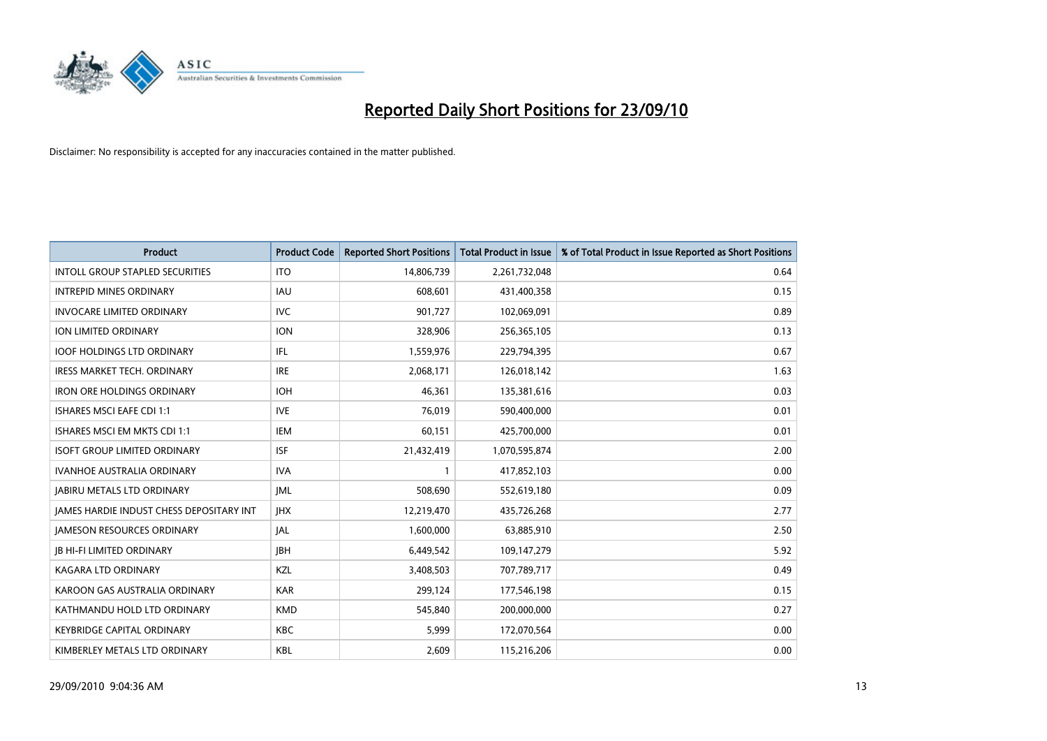

| <b>Product</b>                                  | <b>Product Code</b> | <b>Reported Short Positions</b> | Total Product in Issue | % of Total Product in Issue Reported as Short Positions |
|-------------------------------------------------|---------------------|---------------------------------|------------------------|---------------------------------------------------------|
| <b>INTOLL GROUP STAPLED SECURITIES</b>          | <b>ITO</b>          | 14,806,739                      | 2,261,732,048          | 0.64                                                    |
| <b>INTREPID MINES ORDINARY</b>                  | <b>IAU</b>          | 608,601                         | 431,400,358            | 0.15                                                    |
| <b>INVOCARE LIMITED ORDINARY</b>                | <b>IVC</b>          | 901,727                         | 102,069,091            | 0.89                                                    |
| ION LIMITED ORDINARY                            | <b>ION</b>          | 328,906                         | 256,365,105            | 0.13                                                    |
| <b>IOOF HOLDINGS LTD ORDINARY</b>               | IFL.                | 1,559,976                       | 229,794,395            | 0.67                                                    |
| <b>IRESS MARKET TECH. ORDINARY</b>              | <b>IRE</b>          | 2,068,171                       | 126,018,142            | 1.63                                                    |
| <b>IRON ORE HOLDINGS ORDINARY</b>               | <b>IOH</b>          | 46.361                          | 135,381,616            | 0.03                                                    |
| <b>ISHARES MSCI EAFE CDI 1:1</b>                | <b>IVE</b>          | 76,019                          | 590,400,000            | 0.01                                                    |
| <b>ISHARES MSCI EM MKTS CDI 1:1</b>             | <b>IEM</b>          | 60,151                          | 425,700,000            | 0.01                                                    |
| <b>ISOFT GROUP LIMITED ORDINARY</b>             | <b>ISF</b>          | 21,432,419                      | 1,070,595,874          | 2.00                                                    |
| <b>IVANHOE AUSTRALIA ORDINARY</b>               | <b>IVA</b>          |                                 | 417,852,103            | 0.00                                                    |
| <b>JABIRU METALS LTD ORDINARY</b>               | <b>JML</b>          | 508,690                         | 552,619,180            | 0.09                                                    |
| <b>IAMES HARDIE INDUST CHESS DEPOSITARY INT</b> | <b>IHX</b>          | 12,219,470                      | 435,726,268            | 2.77                                                    |
| <b>JAMESON RESOURCES ORDINARY</b>               | JAL                 | 1,600,000                       | 63,885,910             | 2.50                                                    |
| <b>JB HI-FI LIMITED ORDINARY</b>                | <b>IBH</b>          | 6,449,542                       | 109,147,279            | 5.92                                                    |
| <b>KAGARA LTD ORDINARY</b>                      | KZL                 | 3,408,503                       | 707,789,717            | 0.49                                                    |
| KAROON GAS AUSTRALIA ORDINARY                   | <b>KAR</b>          | 299,124                         | 177,546,198            | 0.15                                                    |
| KATHMANDU HOLD LTD ORDINARY                     | <b>KMD</b>          | 545,840                         | 200,000,000            | 0.27                                                    |
| <b>KEYBRIDGE CAPITAL ORDINARY</b>               | <b>KBC</b>          | 5,999                           | 172,070,564            | 0.00                                                    |
| KIMBERLEY METALS LTD ORDINARY                   | <b>KBL</b>          | 2.609                           | 115,216,206            | 0.00                                                    |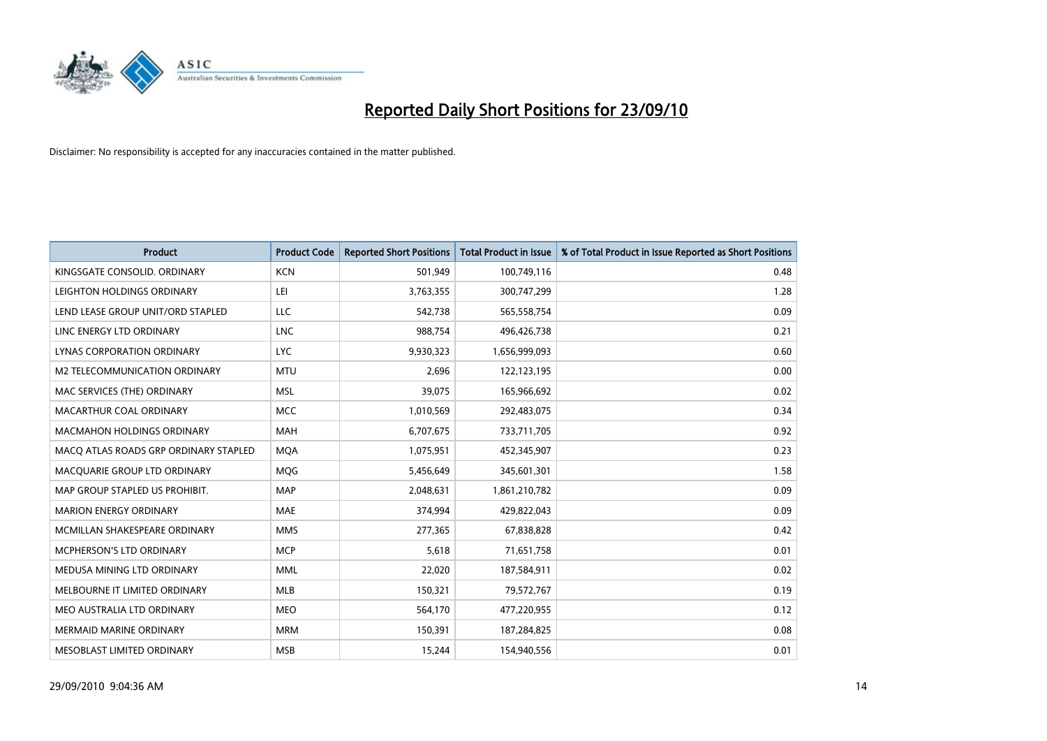

| <b>Product</b>                        | <b>Product Code</b> | <b>Reported Short Positions</b> | Total Product in Issue | % of Total Product in Issue Reported as Short Positions |
|---------------------------------------|---------------------|---------------------------------|------------------------|---------------------------------------------------------|
| KINGSGATE CONSOLID. ORDINARY          | <b>KCN</b>          | 501,949                         | 100,749,116            | 0.48                                                    |
| LEIGHTON HOLDINGS ORDINARY            | LEI                 | 3,763,355                       | 300,747,299            | 1.28                                                    |
| LEND LEASE GROUP UNIT/ORD STAPLED     | LLC                 | 542,738                         | 565,558,754            | 0.09                                                    |
| LINC ENERGY LTD ORDINARY              | <b>LNC</b>          | 988,754                         | 496,426,738            | 0.21                                                    |
| LYNAS CORPORATION ORDINARY            | <b>LYC</b>          | 9,930,323                       | 1,656,999,093          | 0.60                                                    |
| M2 TELECOMMUNICATION ORDINARY         | <b>MTU</b>          | 2,696                           | 122,123,195            | 0.00                                                    |
| MAC SERVICES (THE) ORDINARY           | <b>MSL</b>          | 39.075                          | 165,966,692            | 0.02                                                    |
| MACARTHUR COAL ORDINARY               | <b>MCC</b>          | 1,010,569                       | 292,483,075            | 0.34                                                    |
| <b>MACMAHON HOLDINGS ORDINARY</b>     | <b>MAH</b>          | 6,707,675                       | 733,711,705            | 0.92                                                    |
| MACO ATLAS ROADS GRP ORDINARY STAPLED | <b>MOA</b>          | 1,075,951                       | 452,345,907            | 0.23                                                    |
| MACQUARIE GROUP LTD ORDINARY          | <b>MOG</b>          | 5,456,649                       | 345,601,301            | 1.58                                                    |
| MAP GROUP STAPLED US PROHIBIT.        | <b>MAP</b>          | 2,048,631                       | 1,861,210,782          | 0.09                                                    |
| <b>MARION ENERGY ORDINARY</b>         | <b>MAE</b>          | 374,994                         | 429,822,043            | 0.09                                                    |
| MCMILLAN SHAKESPEARE ORDINARY         | <b>MMS</b>          | 277,365                         | 67,838,828             | 0.42                                                    |
| MCPHERSON'S LTD ORDINARY              | <b>MCP</b>          | 5,618                           | 71,651,758             | 0.01                                                    |
| MEDUSA MINING LTD ORDINARY            | <b>MML</b>          | 22,020                          | 187,584,911            | 0.02                                                    |
| MELBOURNE IT LIMITED ORDINARY         | <b>MLB</b>          | 150,321                         | 79,572,767             | 0.19                                                    |
| MEO AUSTRALIA LTD ORDINARY            | <b>MEO</b>          | 564,170                         | 477,220,955            | 0.12                                                    |
| <b>MERMAID MARINE ORDINARY</b>        | <b>MRM</b>          | 150,391                         | 187,284,825            | 0.08                                                    |
| MESOBLAST LIMITED ORDINARY            | <b>MSB</b>          | 15,244                          | 154,940,556            | 0.01                                                    |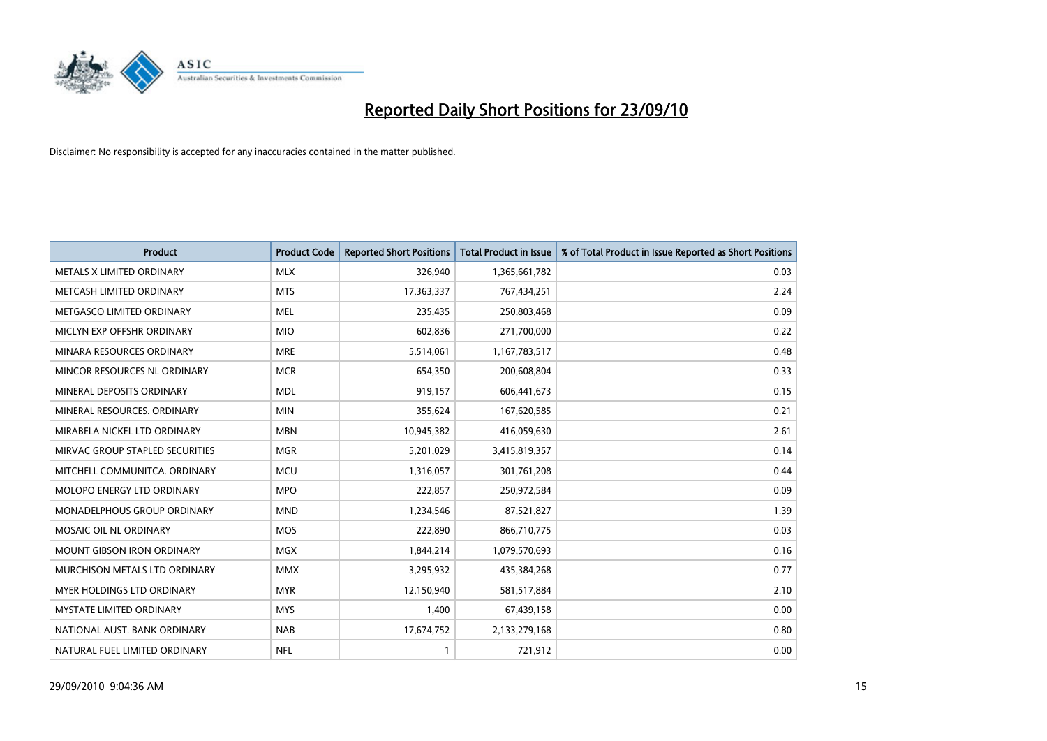

| <b>Product</b>                    | <b>Product Code</b> | <b>Reported Short Positions</b> | Total Product in Issue | % of Total Product in Issue Reported as Short Positions |
|-----------------------------------|---------------------|---------------------------------|------------------------|---------------------------------------------------------|
| METALS X LIMITED ORDINARY         | <b>MLX</b>          | 326,940                         | 1,365,661,782          | 0.03                                                    |
| METCASH LIMITED ORDINARY          | <b>MTS</b>          | 17,363,337                      | 767,434,251            | 2.24                                                    |
| METGASCO LIMITED ORDINARY         | <b>MEL</b>          | 235,435                         | 250,803,468            | 0.09                                                    |
| MICLYN EXP OFFSHR ORDINARY        | <b>MIO</b>          | 602,836                         | 271,700,000            | 0.22                                                    |
| MINARA RESOURCES ORDINARY         | <b>MRE</b>          | 5,514,061                       | 1,167,783,517          | 0.48                                                    |
| MINCOR RESOURCES NL ORDINARY      | <b>MCR</b>          | 654,350                         | 200,608,804            | 0.33                                                    |
| MINERAL DEPOSITS ORDINARY         | <b>MDL</b>          | 919,157                         | 606,441,673            | 0.15                                                    |
| MINERAL RESOURCES. ORDINARY       | <b>MIN</b>          | 355,624                         | 167,620,585            | 0.21                                                    |
| MIRABELA NICKEL LTD ORDINARY      | <b>MBN</b>          | 10,945,382                      | 416,059,630            | 2.61                                                    |
| MIRVAC GROUP STAPLED SECURITIES   | <b>MGR</b>          | 5,201,029                       | 3,415,819,357          | 0.14                                                    |
| MITCHELL COMMUNITCA. ORDINARY     | <b>MCU</b>          | 1,316,057                       | 301,761,208            | 0.44                                                    |
| MOLOPO ENERGY LTD ORDINARY        | <b>MPO</b>          | 222,857                         | 250,972,584            | 0.09                                                    |
| MONADELPHOUS GROUP ORDINARY       | <b>MND</b>          | 1,234,546                       | 87,521,827             | 1.39                                                    |
| MOSAIC OIL NL ORDINARY            | <b>MOS</b>          | 222,890                         | 866,710,775            | 0.03                                                    |
| <b>MOUNT GIBSON IRON ORDINARY</b> | <b>MGX</b>          | 1,844,214                       | 1,079,570,693          | 0.16                                                    |
| MURCHISON METALS LTD ORDINARY     | <b>MMX</b>          | 3,295,932                       | 435,384,268            | 0.77                                                    |
| MYER HOLDINGS LTD ORDINARY        | <b>MYR</b>          | 12,150,940                      | 581,517,884            | 2.10                                                    |
| MYSTATE LIMITED ORDINARY          | <b>MYS</b>          | 1,400                           | 67,439,158             | 0.00                                                    |
| NATIONAL AUST. BANK ORDINARY      | <b>NAB</b>          | 17,674,752                      | 2,133,279,168          | 0.80                                                    |
| NATURAL FUEL LIMITED ORDINARY     | <b>NFL</b>          |                                 | 721,912                | 0.00                                                    |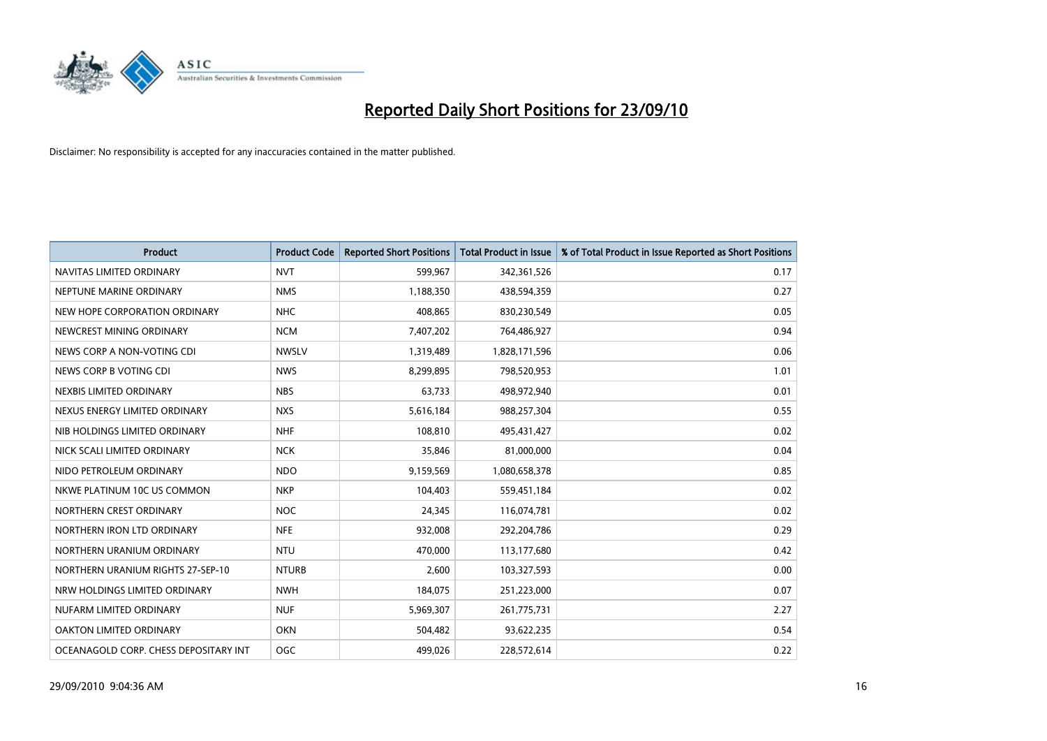

| <b>Product</b>                        | <b>Product Code</b> | <b>Reported Short Positions</b> | <b>Total Product in Issue</b> | % of Total Product in Issue Reported as Short Positions |
|---------------------------------------|---------------------|---------------------------------|-------------------------------|---------------------------------------------------------|
| NAVITAS LIMITED ORDINARY              | <b>NVT</b>          | 599,967                         | 342,361,526                   | 0.17                                                    |
| NEPTUNE MARINE ORDINARY               | <b>NMS</b>          | 1,188,350                       | 438,594,359                   | 0.27                                                    |
| NEW HOPE CORPORATION ORDINARY         | <b>NHC</b>          | 408,865                         | 830,230,549                   | 0.05                                                    |
| NEWCREST MINING ORDINARY              | <b>NCM</b>          | 7,407,202                       | 764,486,927                   | 0.94                                                    |
| NEWS CORP A NON-VOTING CDI            | <b>NWSLV</b>        | 1,319,489                       | 1,828,171,596                 | 0.06                                                    |
| NEWS CORP B VOTING CDI                | <b>NWS</b>          | 8,299,895                       | 798,520,953                   | 1.01                                                    |
| NEXBIS LIMITED ORDINARY               | <b>NBS</b>          | 63,733                          | 498,972,940                   | 0.01                                                    |
| NEXUS ENERGY LIMITED ORDINARY         | <b>NXS</b>          | 5,616,184                       | 988,257,304                   | 0.55                                                    |
| NIB HOLDINGS LIMITED ORDINARY         | <b>NHF</b>          | 108,810                         | 495,431,427                   | 0.02                                                    |
| NICK SCALI LIMITED ORDINARY           | <b>NCK</b>          | 35,846                          | 81,000,000                    | 0.04                                                    |
| NIDO PETROLEUM ORDINARY               | <b>NDO</b>          | 9,159,569                       | 1,080,658,378                 | 0.85                                                    |
| NKWE PLATINUM 10C US COMMON           | <b>NKP</b>          | 104,403                         | 559,451,184                   | 0.02                                                    |
| NORTHERN CREST ORDINARY               | <b>NOC</b>          | 24,345                          | 116,074,781                   | 0.02                                                    |
| NORTHERN IRON LTD ORDINARY            | <b>NFE</b>          | 932,008                         | 292,204,786                   | 0.29                                                    |
| NORTHERN URANIUM ORDINARY             | <b>NTU</b>          | 470,000                         | 113,177,680                   | 0.42                                                    |
| NORTHERN URANIUM RIGHTS 27-SEP-10     | <b>NTURB</b>        | 2,600                           | 103,327,593                   | 0.00                                                    |
| NRW HOLDINGS LIMITED ORDINARY         | <b>NWH</b>          | 184,075                         | 251,223,000                   | 0.07                                                    |
| NUFARM LIMITED ORDINARY               | <b>NUF</b>          | 5,969,307                       | 261,775,731                   | 2.27                                                    |
| OAKTON LIMITED ORDINARY               | <b>OKN</b>          | 504,482                         | 93,622,235                    | 0.54                                                    |
| OCEANAGOLD CORP. CHESS DEPOSITARY INT | <b>OGC</b>          | 499.026                         | 228,572,614                   | 0.22                                                    |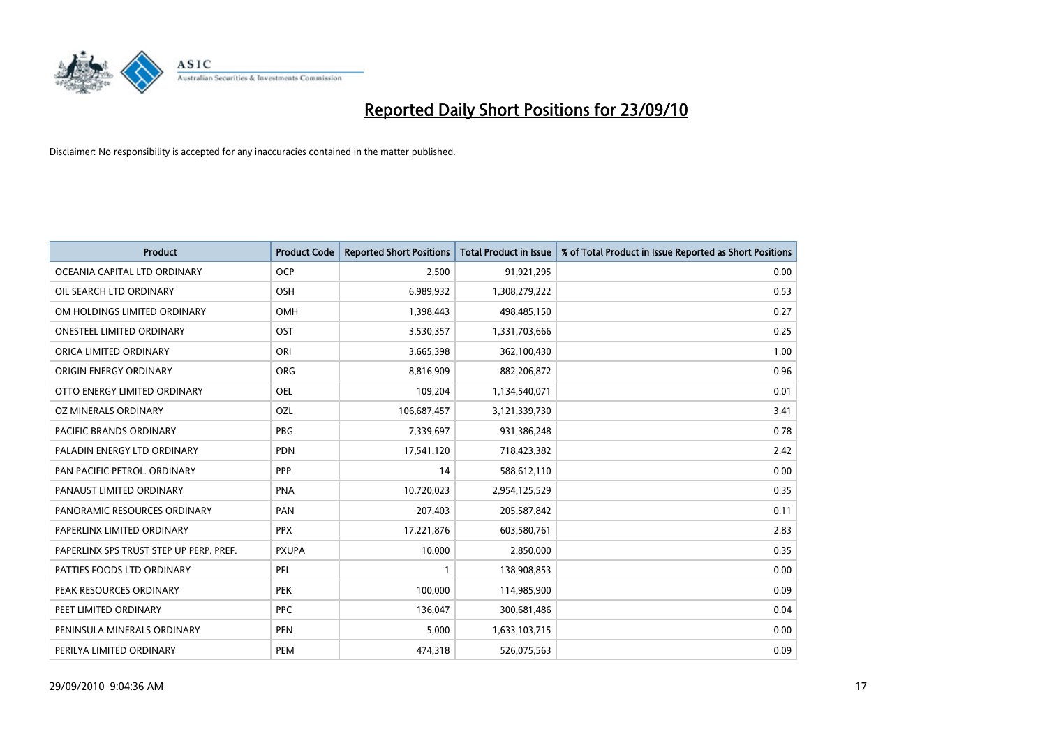

| <b>Product</b>                          | <b>Product Code</b> | <b>Reported Short Positions</b> | Total Product in Issue | % of Total Product in Issue Reported as Short Positions |
|-----------------------------------------|---------------------|---------------------------------|------------------------|---------------------------------------------------------|
| OCEANIA CAPITAL LTD ORDINARY            | <b>OCP</b>          | 2,500                           | 91,921,295             | 0.00                                                    |
| OIL SEARCH LTD ORDINARY                 | OSH                 | 6,989,932                       | 1,308,279,222          | 0.53                                                    |
| OM HOLDINGS LIMITED ORDINARY            | <b>OMH</b>          | 1,398,443                       | 498,485,150            | 0.27                                                    |
| ONESTEEL LIMITED ORDINARY               | OST                 | 3,530,357                       | 1,331,703,666          | 0.25                                                    |
| ORICA LIMITED ORDINARY                  | ORI                 | 3,665,398                       | 362,100,430            | 1.00                                                    |
| ORIGIN ENERGY ORDINARY                  | <b>ORG</b>          | 8,816,909                       | 882,206,872            | 0.96                                                    |
| OTTO ENERGY LIMITED ORDINARY            | <b>OEL</b>          | 109,204                         | 1,134,540,071          | 0.01                                                    |
| OZ MINERALS ORDINARY                    | OZL                 | 106,687,457                     | 3,121,339,730          | 3.41                                                    |
| <b>PACIFIC BRANDS ORDINARY</b>          | <b>PBG</b>          | 7,339,697                       | 931,386,248            | 0.78                                                    |
| PALADIN ENERGY LTD ORDINARY             | <b>PDN</b>          | 17,541,120                      | 718,423,382            | 2.42                                                    |
| PAN PACIFIC PETROL. ORDINARY            | PPP                 | 14                              | 588,612,110            | 0.00                                                    |
| PANAUST LIMITED ORDINARY                | <b>PNA</b>          | 10,720,023                      | 2,954,125,529          | 0.35                                                    |
| PANORAMIC RESOURCES ORDINARY            | PAN                 | 207,403                         | 205,587,842            | 0.11                                                    |
| PAPERLINX LIMITED ORDINARY              | <b>PPX</b>          | 17,221,876                      | 603,580,761            | 2.83                                                    |
| PAPERLINX SPS TRUST STEP UP PERP. PREF. | <b>PXUPA</b>        | 10,000                          | 2,850,000              | 0.35                                                    |
| PATTIES FOODS LTD ORDINARY              | PFL                 |                                 | 138,908,853            | 0.00                                                    |
| PEAK RESOURCES ORDINARY                 | <b>PEK</b>          | 100,000                         | 114,985,900            | 0.09                                                    |
| PEET LIMITED ORDINARY                   | <b>PPC</b>          | 136,047                         | 300,681,486            | 0.04                                                    |
| PENINSULA MINERALS ORDINARY             | <b>PEN</b>          | 5,000                           | 1,633,103,715          | 0.00                                                    |
| PERILYA LIMITED ORDINARY                | PEM                 | 474,318                         | 526,075,563            | 0.09                                                    |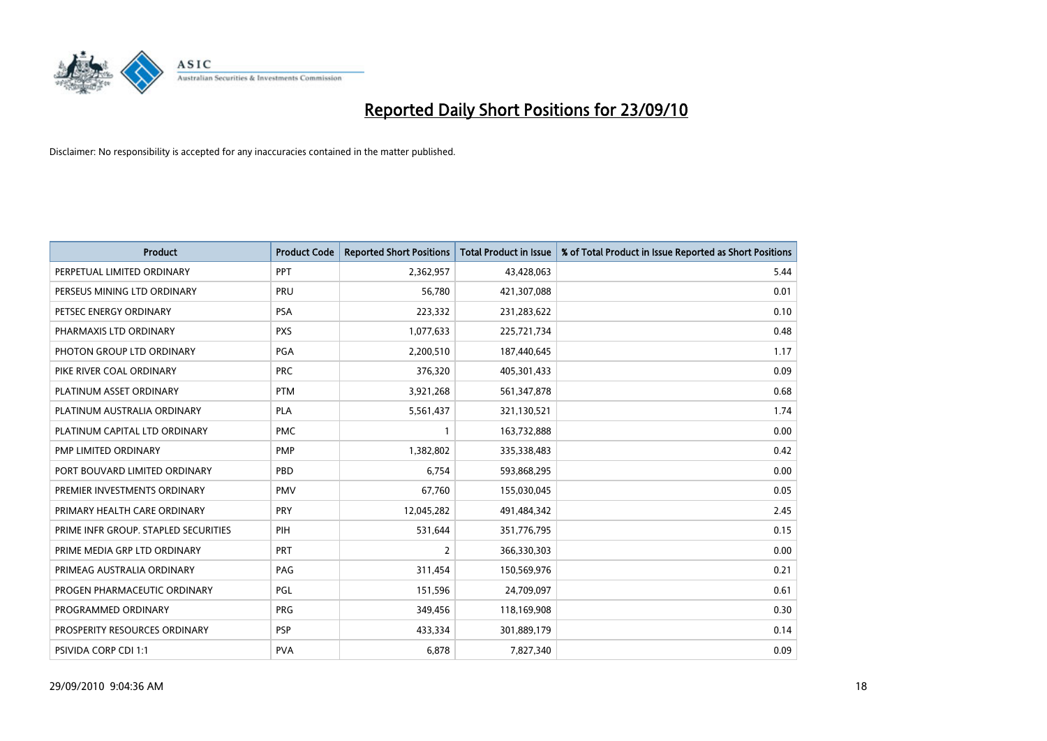

| <b>Product</b>                       | <b>Product Code</b> | <b>Reported Short Positions</b> | Total Product in Issue | % of Total Product in Issue Reported as Short Positions |
|--------------------------------------|---------------------|---------------------------------|------------------------|---------------------------------------------------------|
| PERPETUAL LIMITED ORDINARY           | PPT                 | 2,362,957                       | 43,428,063             | 5.44                                                    |
| PERSEUS MINING LTD ORDINARY          | PRU                 | 56,780                          | 421,307,088            | 0.01                                                    |
| PETSEC ENERGY ORDINARY               | <b>PSA</b>          | 223,332                         | 231,283,622            | 0.10                                                    |
| PHARMAXIS LTD ORDINARY               | <b>PXS</b>          | 1,077,633                       | 225,721,734            | 0.48                                                    |
| PHOTON GROUP LTD ORDINARY            | PGA                 | 2,200,510                       | 187,440,645            | 1.17                                                    |
| PIKE RIVER COAL ORDINARY             | <b>PRC</b>          | 376,320                         | 405,301,433            | 0.09                                                    |
| PLATINUM ASSET ORDINARY              | <b>PTM</b>          | 3,921,268                       | 561,347,878            | 0.68                                                    |
| PLATINUM AUSTRALIA ORDINARY          | <b>PLA</b>          | 5,561,437                       | 321,130,521            | 1.74                                                    |
| PLATINUM CAPITAL LTD ORDINARY        | <b>PMC</b>          |                                 | 163,732,888            | 0.00                                                    |
| PMP LIMITED ORDINARY                 | PMP                 | 1,382,802                       | 335,338,483            | 0.42                                                    |
| PORT BOUVARD LIMITED ORDINARY        | PBD                 | 6,754                           | 593,868,295            | 0.00                                                    |
| PREMIER INVESTMENTS ORDINARY         | <b>PMV</b>          | 67,760                          | 155,030,045            | 0.05                                                    |
| PRIMARY HEALTH CARE ORDINARY         | PRY                 | 12,045,282                      | 491,484,342            | 2.45                                                    |
| PRIME INFR GROUP. STAPLED SECURITIES | PIH                 | 531,644                         | 351,776,795            | 0.15                                                    |
| PRIME MEDIA GRP LTD ORDINARY         | <b>PRT</b>          | $\overline{2}$                  | 366,330,303            | 0.00                                                    |
| PRIMEAG AUSTRALIA ORDINARY           | PAG                 | 311,454                         | 150,569,976            | 0.21                                                    |
| PROGEN PHARMACEUTIC ORDINARY         | PGL                 | 151,596                         | 24,709,097             | 0.61                                                    |
| PROGRAMMED ORDINARY                  | <b>PRG</b>          | 349,456                         | 118,169,908            | 0.30                                                    |
| PROSPERITY RESOURCES ORDINARY        | <b>PSP</b>          | 433,334                         | 301,889,179            | 0.14                                                    |
| PSIVIDA CORP CDI 1:1                 | <b>PVA</b>          | 6,878                           | 7,827,340              | 0.09                                                    |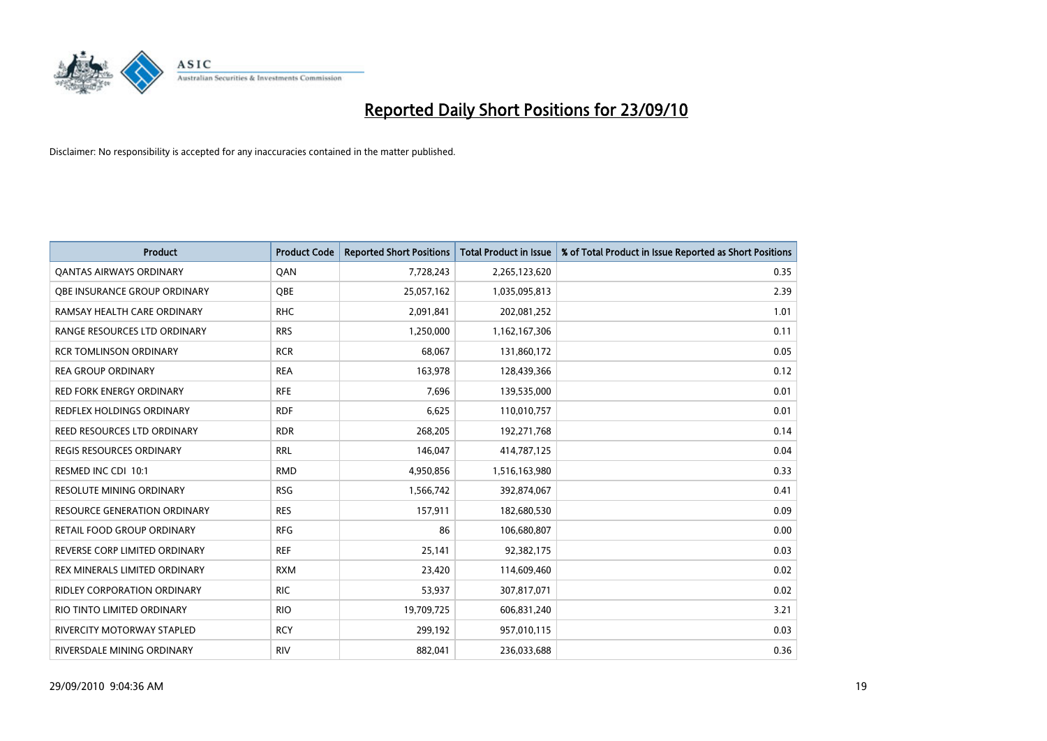

| <b>Product</b>                      | <b>Product Code</b> | <b>Reported Short Positions</b> | <b>Total Product in Issue</b> | % of Total Product in Issue Reported as Short Positions |
|-------------------------------------|---------------------|---------------------------------|-------------------------------|---------------------------------------------------------|
| <b>QANTAS AIRWAYS ORDINARY</b>      | QAN                 | 7,728,243                       | 2,265,123,620                 | 0.35                                                    |
| <b>OBE INSURANCE GROUP ORDINARY</b> | OBE                 | 25,057,162                      | 1,035,095,813                 | 2.39                                                    |
| RAMSAY HEALTH CARE ORDINARY         | <b>RHC</b>          | 2,091,841                       | 202,081,252                   | 1.01                                                    |
| RANGE RESOURCES LTD ORDINARY        | <b>RRS</b>          | 1,250,000                       | 1,162,167,306                 | 0.11                                                    |
| <b>RCR TOMLINSON ORDINARY</b>       | <b>RCR</b>          | 68,067                          | 131,860,172                   | 0.05                                                    |
| <b>REA GROUP ORDINARY</b>           | <b>REA</b>          | 163,978                         | 128,439,366                   | 0.12                                                    |
| <b>RED FORK ENERGY ORDINARY</b>     | <b>RFE</b>          | 7,696                           | 139,535,000                   | 0.01                                                    |
| REDFLEX HOLDINGS ORDINARY           | <b>RDF</b>          | 6,625                           | 110,010,757                   | 0.01                                                    |
| REED RESOURCES LTD ORDINARY         | <b>RDR</b>          | 268,205                         | 192,271,768                   | 0.14                                                    |
| <b>REGIS RESOURCES ORDINARY</b>     | <b>RRL</b>          | 146,047                         | 414,787,125                   | 0.04                                                    |
| RESMED INC CDI 10:1                 | <b>RMD</b>          | 4,950,856                       | 1,516,163,980                 | 0.33                                                    |
| RESOLUTE MINING ORDINARY            | <b>RSG</b>          | 1,566,742                       | 392,874,067                   | 0.41                                                    |
| <b>RESOURCE GENERATION ORDINARY</b> | <b>RES</b>          | 157,911                         | 182,680,530                   | 0.09                                                    |
| <b>RETAIL FOOD GROUP ORDINARY</b>   | <b>RFG</b>          | 86                              | 106,680,807                   | 0.00                                                    |
| REVERSE CORP LIMITED ORDINARY       | <b>REF</b>          | 25,141                          | 92,382,175                    | 0.03                                                    |
| REX MINERALS LIMITED ORDINARY       | <b>RXM</b>          | 23,420                          | 114,609,460                   | 0.02                                                    |
| <b>RIDLEY CORPORATION ORDINARY</b>  | <b>RIC</b>          | 53,937                          | 307,817,071                   | 0.02                                                    |
| RIO TINTO LIMITED ORDINARY          | <b>RIO</b>          | 19,709,725                      | 606,831,240                   | 3.21                                                    |
| <b>RIVERCITY MOTORWAY STAPLED</b>   | <b>RCY</b>          | 299,192                         | 957,010,115                   | 0.03                                                    |
| RIVERSDALE MINING ORDINARY          | <b>RIV</b>          | 882,041                         | 236,033,688                   | 0.36                                                    |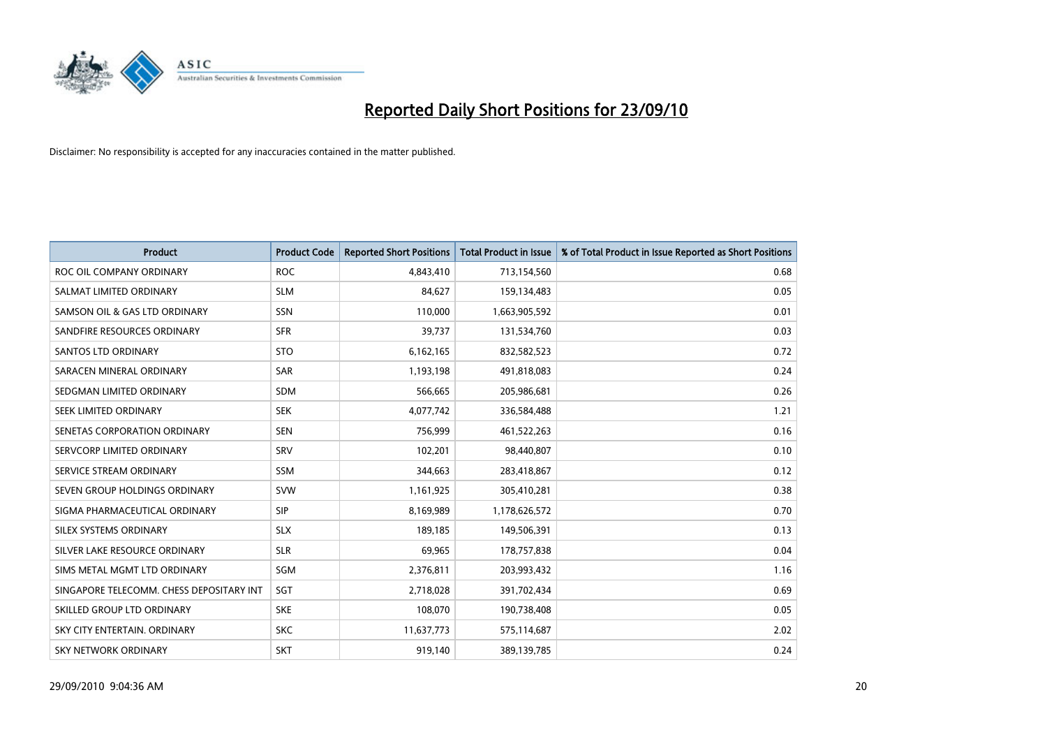

| <b>Product</b>                           | <b>Product Code</b> | <b>Reported Short Positions</b> | <b>Total Product in Issue</b> | % of Total Product in Issue Reported as Short Positions |
|------------------------------------------|---------------------|---------------------------------|-------------------------------|---------------------------------------------------------|
| ROC OIL COMPANY ORDINARY                 | <b>ROC</b>          | 4,843,410                       | 713,154,560                   | 0.68                                                    |
| SALMAT LIMITED ORDINARY                  | <b>SLM</b>          | 84,627                          | 159,134,483                   | 0.05                                                    |
| SAMSON OIL & GAS LTD ORDINARY            | SSN                 | 110,000                         | 1,663,905,592                 | 0.01                                                    |
| SANDFIRE RESOURCES ORDINARY              | <b>SFR</b>          | 39,737                          | 131,534,760                   | 0.03                                                    |
| <b>SANTOS LTD ORDINARY</b>               | <b>STO</b>          | 6,162,165                       | 832,582,523                   | 0.72                                                    |
| SARACEN MINERAL ORDINARY                 | <b>SAR</b>          | 1,193,198                       | 491,818,083                   | 0.24                                                    |
| SEDGMAN LIMITED ORDINARY                 | <b>SDM</b>          | 566,665                         | 205,986,681                   | 0.26                                                    |
| SEEK LIMITED ORDINARY                    | <b>SEK</b>          | 4,077,742                       | 336,584,488                   | 1.21                                                    |
| SENETAS CORPORATION ORDINARY             | <b>SEN</b>          | 756,999                         | 461,522,263                   | 0.16                                                    |
| SERVCORP LIMITED ORDINARY                | SRV                 | 102,201                         | 98,440,807                    | 0.10                                                    |
| SERVICE STREAM ORDINARY                  | SSM                 | 344,663                         | 283,418,867                   | 0.12                                                    |
| SEVEN GROUP HOLDINGS ORDINARY            | <b>SVW</b>          | 1,161,925                       | 305,410,281                   | 0.38                                                    |
| SIGMA PHARMACEUTICAL ORDINARY            | <b>SIP</b>          | 8,169,989                       | 1,178,626,572                 | 0.70                                                    |
| SILEX SYSTEMS ORDINARY                   | <b>SLX</b>          | 189.185                         | 149,506,391                   | 0.13                                                    |
| SILVER LAKE RESOURCE ORDINARY            | <b>SLR</b>          | 69,965                          | 178,757,838                   | 0.04                                                    |
| SIMS METAL MGMT LTD ORDINARY             | SGM                 | 2,376,811                       | 203,993,432                   | 1.16                                                    |
| SINGAPORE TELECOMM. CHESS DEPOSITARY INT | SGT                 | 2,718,028                       | 391,702,434                   | 0.69                                                    |
| SKILLED GROUP LTD ORDINARY               | <b>SKE</b>          | 108,070                         | 190,738,408                   | 0.05                                                    |
| SKY CITY ENTERTAIN, ORDINARY             | <b>SKC</b>          | 11,637,773                      | 575,114,687                   | 2.02                                                    |
| SKY NETWORK ORDINARY                     | <b>SKT</b>          | 919,140                         | 389,139,785                   | 0.24                                                    |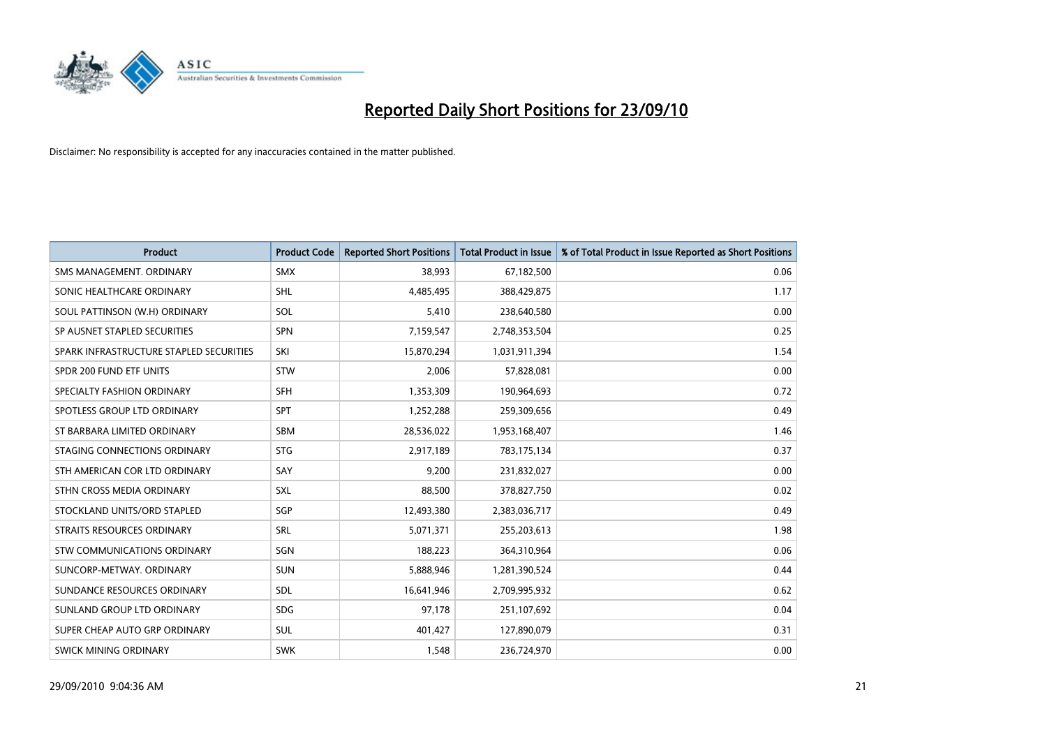

| <b>Product</b>                          | <b>Product Code</b> | <b>Reported Short Positions</b> | <b>Total Product in Issue</b> | % of Total Product in Issue Reported as Short Positions |
|-----------------------------------------|---------------------|---------------------------------|-------------------------------|---------------------------------------------------------|
| SMS MANAGEMENT, ORDINARY                | <b>SMX</b>          | 38.993                          | 67,182,500                    | 0.06                                                    |
| SONIC HEALTHCARE ORDINARY               | <b>SHL</b>          | 4,485,495                       | 388,429,875                   | 1.17                                                    |
| SOUL PATTINSON (W.H) ORDINARY           | SOL                 | 5,410                           | 238,640,580                   | 0.00                                                    |
| SP AUSNET STAPLED SECURITIES            | SPN                 | 7,159,547                       | 2,748,353,504                 | 0.25                                                    |
| SPARK INFRASTRUCTURE STAPLED SECURITIES | SKI                 | 15,870,294                      | 1,031,911,394                 | 1.54                                                    |
| SPDR 200 FUND ETF UNITS                 | STW                 | 2,006                           | 57,828,081                    | 0.00                                                    |
| SPECIALTY FASHION ORDINARY              | SFH                 | 1,353,309                       | 190,964,693                   | 0.72                                                    |
| SPOTLESS GROUP LTD ORDINARY             | SPT                 | 1,252,288                       | 259,309,656                   | 0.49                                                    |
| ST BARBARA LIMITED ORDINARY             | <b>SBM</b>          | 28,536,022                      | 1,953,168,407                 | 1.46                                                    |
| STAGING CONNECTIONS ORDINARY            | <b>STG</b>          | 2,917,189                       | 783,175,134                   | 0.37                                                    |
| STH AMERICAN COR LTD ORDINARY           | SAY                 | 9,200                           | 231,832,027                   | 0.00                                                    |
| STHN CROSS MEDIA ORDINARY               | SXL                 | 88,500                          | 378,827,750                   | 0.02                                                    |
| STOCKLAND UNITS/ORD STAPLED             | SGP                 | 12,493,380                      | 2,383,036,717                 | 0.49                                                    |
| <b>STRAITS RESOURCES ORDINARY</b>       | SRL                 | 5,071,371                       | 255,203,613                   | 1.98                                                    |
| STW COMMUNICATIONS ORDINARY             | SGN                 | 188.223                         | 364,310,964                   | 0.06                                                    |
| SUNCORP-METWAY, ORDINARY                | <b>SUN</b>          | 5,888,946                       | 1,281,390,524                 | 0.44                                                    |
| SUNDANCE RESOURCES ORDINARY             | <b>SDL</b>          | 16,641,946                      | 2,709,995,932                 | 0.62                                                    |
| SUNLAND GROUP LTD ORDINARY              | <b>SDG</b>          | 97,178                          | 251,107,692                   | 0.04                                                    |
| SUPER CHEAP AUTO GRP ORDINARY           | <b>SUL</b>          | 401,427                         | 127,890,079                   | 0.31                                                    |
| SWICK MINING ORDINARY                   | <b>SWK</b>          | 1,548                           | 236,724,970                   | 0.00                                                    |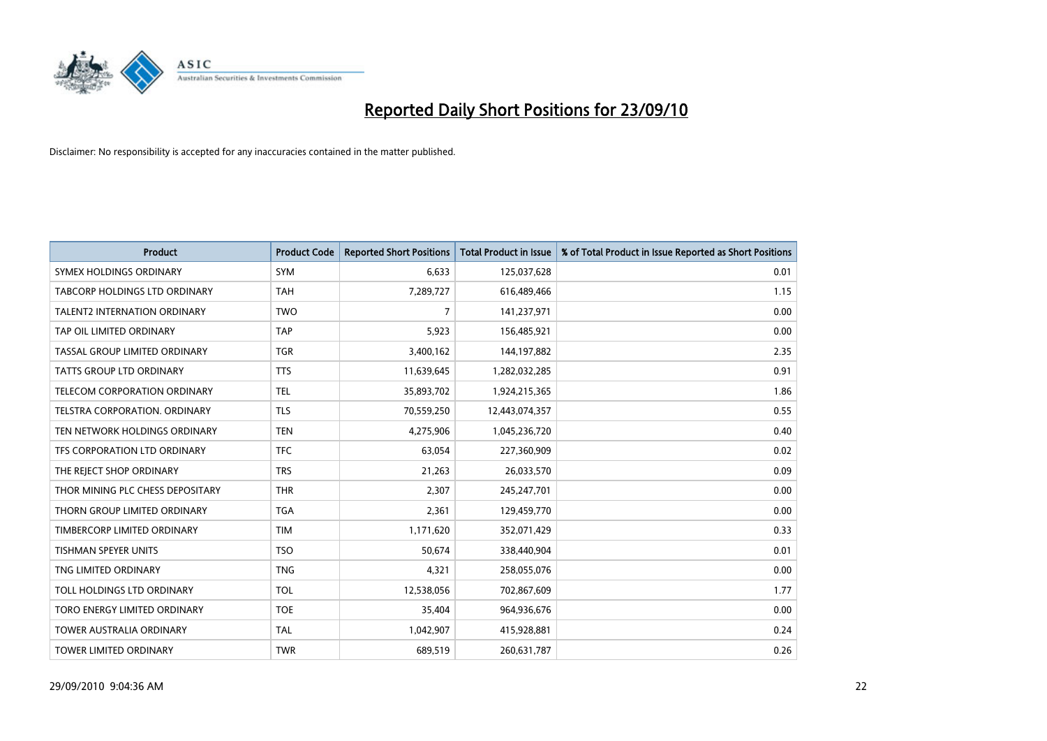

| <b>Product</b>                      | <b>Product Code</b> | <b>Reported Short Positions</b> | Total Product in Issue | % of Total Product in Issue Reported as Short Positions |
|-------------------------------------|---------------------|---------------------------------|------------------------|---------------------------------------------------------|
| SYMEX HOLDINGS ORDINARY             | SYM                 | 6,633                           | 125,037,628            | 0.01                                                    |
| TABCORP HOLDINGS LTD ORDINARY       | <b>TAH</b>          | 7,289,727                       | 616,489,466            | 1.15                                                    |
| <b>TALENT2 INTERNATION ORDINARY</b> | <b>TWO</b>          | $\overline{7}$                  | 141,237,971            | 0.00                                                    |
| TAP OIL LIMITED ORDINARY            | <b>TAP</b>          | 5,923                           | 156,485,921            | 0.00                                                    |
| TASSAL GROUP LIMITED ORDINARY       | <b>TGR</b>          | 3,400,162                       | 144, 197, 882          | 2.35                                                    |
| <b>TATTS GROUP LTD ORDINARY</b>     | <b>TTS</b>          | 11,639,645                      | 1,282,032,285          | 0.91                                                    |
| <b>TELECOM CORPORATION ORDINARY</b> | <b>TEL</b>          | 35,893,702                      | 1,924,215,365          | 1.86                                                    |
| TELSTRA CORPORATION. ORDINARY       | <b>TLS</b>          | 70,559,250                      | 12,443,074,357         | 0.55                                                    |
| TEN NETWORK HOLDINGS ORDINARY       | <b>TEN</b>          | 4,275,906                       | 1,045,236,720          | 0.40                                                    |
| TFS CORPORATION LTD ORDINARY        | <b>TFC</b>          | 63,054                          | 227,360,909            | 0.02                                                    |
| THE REJECT SHOP ORDINARY            | <b>TRS</b>          | 21,263                          | 26,033,570             | 0.09                                                    |
| THOR MINING PLC CHESS DEPOSITARY    | <b>THR</b>          | 2,307                           | 245,247,701            | 0.00                                                    |
| THORN GROUP LIMITED ORDINARY        | <b>TGA</b>          | 2,361                           | 129,459,770            | 0.00                                                    |
| TIMBERCORP LIMITED ORDINARY         | <b>TIM</b>          | 1,171,620                       | 352,071,429            | 0.33                                                    |
| <b>TISHMAN SPEYER UNITS</b>         | <b>TSO</b>          | 50,674                          | 338,440,904            | 0.01                                                    |
| TNG LIMITED ORDINARY                | <b>TNG</b>          | 4,321                           | 258,055,076            | 0.00                                                    |
| TOLL HOLDINGS LTD ORDINARY          | <b>TOL</b>          | 12,538,056                      | 702,867,609            | 1.77                                                    |
| TORO ENERGY LIMITED ORDINARY        | <b>TOE</b>          | 35,404                          | 964,936,676            | 0.00                                                    |
| <b>TOWER AUSTRALIA ORDINARY</b>     | <b>TAL</b>          | 1,042,907                       | 415,928,881            | 0.24                                                    |
| <b>TOWER LIMITED ORDINARY</b>       | <b>TWR</b>          | 689.519                         | 260,631,787            | 0.26                                                    |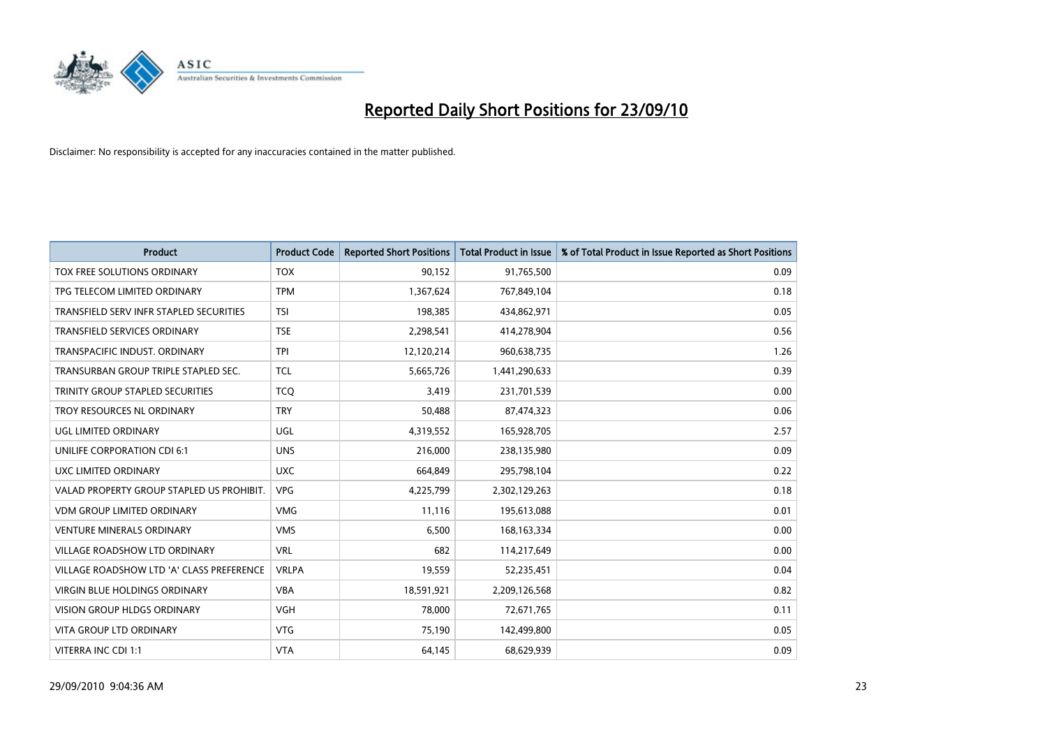

| <b>Product</b>                            | <b>Product Code</b> | <b>Reported Short Positions</b> | Total Product in Issue | % of Total Product in Issue Reported as Short Positions |
|-------------------------------------------|---------------------|---------------------------------|------------------------|---------------------------------------------------------|
| TOX FREE SOLUTIONS ORDINARY               | <b>TOX</b>          | 90,152                          | 91,765,500             | 0.09                                                    |
| TPG TELECOM LIMITED ORDINARY              | <b>TPM</b>          | 1,367,624                       | 767,849,104            | 0.18                                                    |
| TRANSFIELD SERV INFR STAPLED SECURITIES   | <b>TSI</b>          | 198.385                         | 434,862,971            | 0.05                                                    |
| TRANSFIELD SERVICES ORDINARY              | <b>TSE</b>          | 2,298,541                       | 414,278,904            | 0.56                                                    |
| TRANSPACIFIC INDUST, ORDINARY             | <b>TPI</b>          | 12,120,214                      | 960,638,735            | 1.26                                                    |
| TRANSURBAN GROUP TRIPLE STAPLED SEC.      | <b>TCL</b>          | 5,665,726                       | 1,441,290,633          | 0.39                                                    |
| TRINITY GROUP STAPLED SECURITIES          | <b>TCO</b>          | 3,419                           | 231,701,539            | 0.00                                                    |
| TROY RESOURCES NL ORDINARY                | <b>TRY</b>          | 50,488                          | 87,474,323             | 0.06                                                    |
| UGL LIMITED ORDINARY                      | UGL                 | 4,319,552                       | 165,928,705            | 2.57                                                    |
| UNILIFE CORPORATION CDI 6:1               | <b>UNS</b>          | 216,000                         | 238,135,980            | 0.09                                                    |
| UXC LIMITED ORDINARY                      | <b>UXC</b>          | 664,849                         | 295,798,104            | 0.22                                                    |
| VALAD PROPERTY GROUP STAPLED US PROHIBIT. | <b>VPG</b>          | 4,225,799                       | 2,302,129,263          | 0.18                                                    |
| <b>VDM GROUP LIMITED ORDINARY</b>         | <b>VMG</b>          | 11,116                          | 195,613,088            | 0.01                                                    |
| <b>VENTURE MINERALS ORDINARY</b>          | <b>VMS</b>          | 6,500                           | 168, 163, 334          | 0.00                                                    |
| <b>VILLAGE ROADSHOW LTD ORDINARY</b>      | <b>VRL</b>          | 682                             | 114,217,649            | 0.00                                                    |
| VILLAGE ROADSHOW LTD 'A' CLASS PREFERENCE | <b>VRLPA</b>        | 19,559                          | 52,235,451             | 0.04                                                    |
| VIRGIN BLUE HOLDINGS ORDINARY             | <b>VBA</b>          | 18,591,921                      | 2,209,126,568          | 0.82                                                    |
| VISION GROUP HLDGS ORDINARY               | <b>VGH</b>          | 78,000                          | 72,671,765             | 0.11                                                    |
| <b>VITA GROUP LTD ORDINARY</b>            | <b>VTG</b>          | 75,190                          | 142,499,800            | 0.05                                                    |
| VITERRA INC CDI 1:1                       | <b>VTA</b>          | 64,145                          | 68,629,939             | 0.09                                                    |